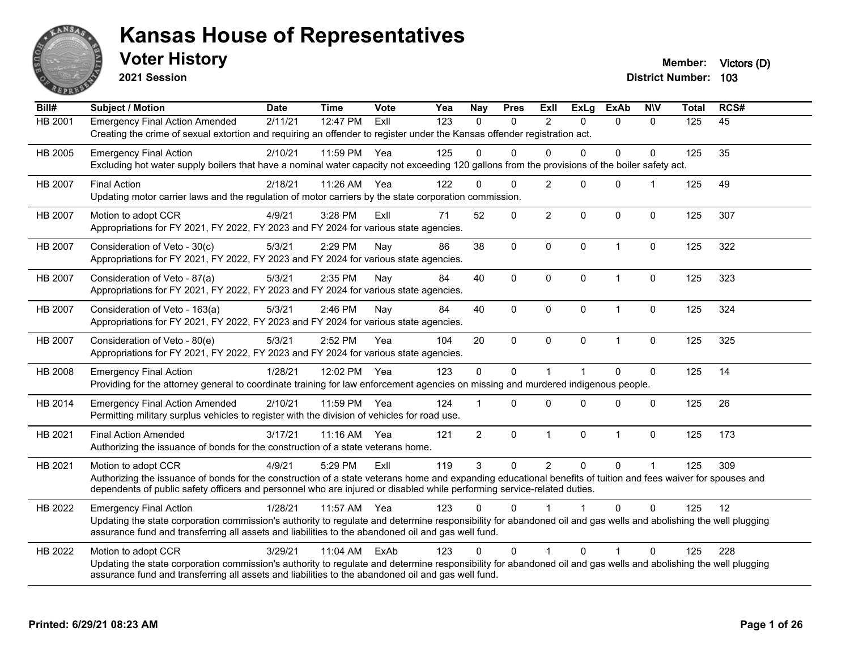

**2021 Session**

| $\overline{Bill#}$ | <b>Subject / Motion</b>                                                                                                                                                                                                                                               | <b>Date</b> | <b>Time</b> | Vote | Yea | Nay            | <b>Pres</b>  | ExII           | <b>ExLg</b>    | <b>ExAb</b>  | <b>NIV</b>   | <b>Total</b> | RCS# |
|--------------------|-----------------------------------------------------------------------------------------------------------------------------------------------------------------------------------------------------------------------------------------------------------------------|-------------|-------------|------|-----|----------------|--------------|----------------|----------------|--------------|--------------|--------------|------|
| HB 2001            | <b>Emergency Final Action Amended</b>                                                                                                                                                                                                                                 | 2/11/21     | 12:47 PM    | ExII | 123 | $\Omega$       | $\mathbf{0}$ | $\mathcal{P}$  | $\mathbf{0}$   | $\mathbf{0}$ | $\mathbf{0}$ | 125          | 45   |
|                    | Creating the crime of sexual extortion and requiring an offender to register under the Kansas offender registration act.                                                                                                                                              |             |             |      |     |                |              |                |                |              |              |              |      |
| HB 2005            | <b>Emergency Final Action</b>                                                                                                                                                                                                                                         | 2/10/21     | 11:59 PM    | Yea  | 125 | $\Omega$       | $\Omega$     | $\Omega$       | $\mathbf 0$    | $\mathbf 0$  | $\mathbf 0$  | 125          | 35   |
|                    | Excluding hot water supply boilers that have a nominal water capacity not exceeding 120 gallons from the provisions of the boiler safety act.                                                                                                                         |             |             |      |     |                |              |                |                |              |              |              |      |
| HB 2007            | <b>Final Action</b>                                                                                                                                                                                                                                                   | 2/18/21     | 11:26 AM    | Yea  | 122 | $\Omega$       | $\Omega$     | $\overline{2}$ | $\Omega$       | $\Omega$     |              | 125          | 49   |
|                    | Updating motor carrier laws and the regulation of motor carriers by the state corporation commission.                                                                                                                                                                 |             |             |      |     |                |              |                |                |              |              |              |      |
| HB 2007            | Motion to adopt CCR                                                                                                                                                                                                                                                   | 4/9/21      | 3:28 PM     | ExII | 71  | 52             | $\pmb{0}$    | $\overline{2}$ | $\mathbf 0$    | $\pmb{0}$    | $\mathbf 0$  | 125          | 307  |
|                    | Appropriations for FY 2021, FY 2022, FY 2023 and FY 2024 for various state agencies.                                                                                                                                                                                  |             |             |      |     |                |              |                |                |              |              |              |      |
| HB 2007            | Consideration of Veto - 30(c)                                                                                                                                                                                                                                         | 5/3/21      | 2:29 PM     | Nay  | 86  | 38             | $\mathbf{0}$ | $\mathbf{0}$   | $\Omega$       | $\mathbf{1}$ | $\Omega$     | 125          | 322  |
|                    | Appropriations for FY 2021, FY 2022, FY 2023 and FY 2024 for various state agencies.                                                                                                                                                                                  |             |             |      |     |                |              |                |                |              |              |              |      |
| HB 2007            | Consideration of Veto - 87(a)                                                                                                                                                                                                                                         | 5/3/21      | 2:35 PM     | Nay  | 84  | 40             | $\pmb{0}$    | 0              | $\mathbf 0$    | $\mathbf{1}$ | $\pmb{0}$    | 125          | 323  |
|                    | Appropriations for FY 2021, FY 2022, FY 2023 and FY 2024 for various state agencies.                                                                                                                                                                                  |             |             |      |     |                |              |                |                |              |              |              |      |
| HB 2007            | Consideration of Veto - 163(a)                                                                                                                                                                                                                                        | 5/3/21      | 2:46 PM     | Nay  | 84  | 40             | $\mathbf{0}$ | $\Omega$       | $\Omega$       | $\mathbf{1}$ | $\mathbf{0}$ | 125          | 324  |
|                    | Appropriations for FY 2021, FY 2022, FY 2023 and FY 2024 for various state agencies.                                                                                                                                                                                  |             |             |      |     |                |              |                |                |              |              |              |      |
| HB 2007            | Consideration of Veto - 80(e)                                                                                                                                                                                                                                         | 5/3/21      | 2:52 PM     | Yea  | 104 | 20             | $\mathbf 0$  | $\Omega$       | $\mathbf 0$    | $\mathbf{1}$ | $\mathbf 0$  | 125          | 325  |
|                    | Appropriations for FY 2021, FY 2022, FY 2023 and FY 2024 for various state agencies.                                                                                                                                                                                  |             |             |      |     |                |              |                |                |              |              |              |      |
| HB 2008            | <b>Emergency Final Action</b>                                                                                                                                                                                                                                         | 1/28/21     | 12:02 PM    | Yea  | 123 | $\mathbf 0$    | $\mathbf{0}$ |                | $\overline{1}$ | $\Omega$     | $\mathbf{0}$ | 125          | 14   |
|                    | Providing for the attorney general to coordinate training for law enforcement agencies on missing and murdered indigenous people.                                                                                                                                     |             |             |      |     |                |              |                |                |              |              |              |      |
| HB 2014            | <b>Emergency Final Action Amended</b>                                                                                                                                                                                                                                 | 2/10/21     | 11:59 PM    | Yea  | 124 |                | $\Omega$     | $\Omega$       | $\Omega$       | $\Omega$     | $\mathbf 0$  | 125          | 26   |
|                    | Permitting military surplus vehicles to register with the division of vehicles for road use.                                                                                                                                                                          |             |             |      |     |                |              |                |                |              |              |              |      |
| HB 2021            | <b>Final Action Amended</b>                                                                                                                                                                                                                                           | 3/17/21     | $11:16$ AM  | Yea  | 121 | $\overline{2}$ | $\mathbf{0}$ | $\mathbf{1}$   | $\mathbf 0$    | $\mathbf{1}$ | $\mathbf{0}$ | 125          | 173  |
|                    | Authorizing the issuance of bonds for the construction of a state veterans home.                                                                                                                                                                                      |             |             |      |     |                |              |                |                |              |              |              |      |
| HB 2021            | Motion to adopt CCR                                                                                                                                                                                                                                                   | 4/9/21      | 5:29 PM     | ExII | 119 | 3              | $\mathbf 0$  | $\overline{2}$ | $\pmb{0}$      | $\Omega$     | $\mathbf 1$  | 125          | 309  |
|                    | Authorizing the issuance of bonds for the construction of a state veterans home and expanding educational benefits of tuition and fees waiver for spouses and                                                                                                         |             |             |      |     |                |              |                |                |              |              |              |      |
|                    | dependents of public safety officers and personnel who are injured or disabled while performing service-related duties.                                                                                                                                               |             |             |      |     |                |              |                |                |              |              |              |      |
| HB 2022            | <b>Emergency Final Action</b>                                                                                                                                                                                                                                         | 1/28/21     | 11:57 AM    | Yea  | 123 | $\Omega$       | $\Omega$     |                |                | $\Omega$     | $\Omega$     | 125          | 12   |
|                    | Updating the state corporation commission's authority to regulate and determine responsibility for abandoned oil and gas wells and abolishing the well plugging                                                                                                       |             |             |      |     |                |              |                |                |              |              |              |      |
|                    | assurance fund and transferring all assets and liabilities to the abandoned oil and gas well fund.                                                                                                                                                                    |             |             |      |     |                |              |                |                |              |              |              |      |
| HB 2022            | Motion to adopt CCR                                                                                                                                                                                                                                                   | 3/29/21     | 11:04 AM    | ExAb | 123 | $\Omega$       | $\Omega$     |                | $\Omega$       |              | $\Omega$     | 125          | 228  |
|                    | Updating the state corporation commission's authority to regulate and determine responsibility for abandoned oil and gas wells and abolishing the well plugging<br>assurance fund and transferring all assets and liabilities to the abandoned oil and gas well fund. |             |             |      |     |                |              |                |                |              |              |              |      |
|                    |                                                                                                                                                                                                                                                                       |             |             |      |     |                |              |                |                |              |              |              |      |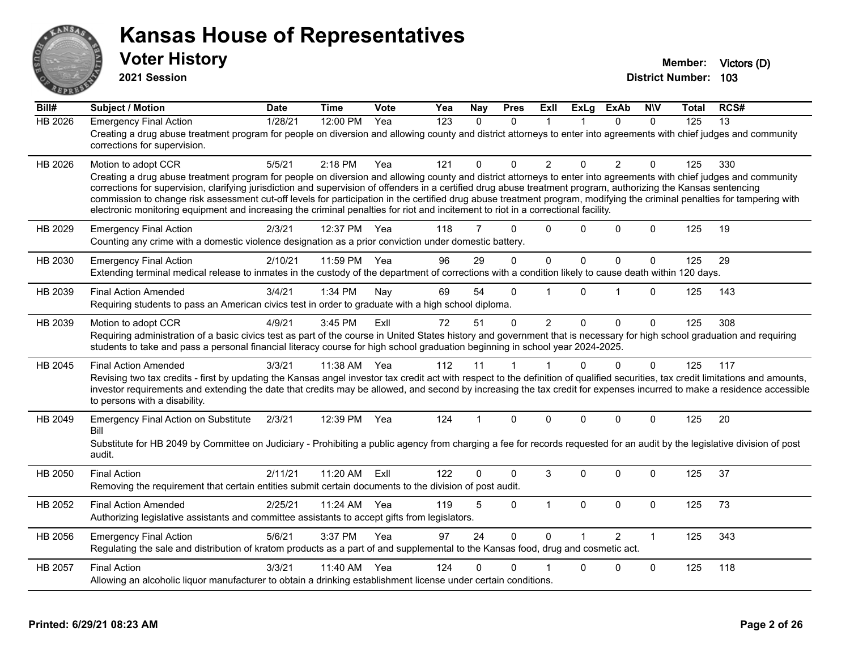

**2021 Session**

| Bill#          | <b>Subject / Motion</b>                                                                                                                                                                                                                                                                                                                                                                                                                                                                                                                                                                                                                                                         | <b>Date</b> | <b>Time</b> | Vote | Yea | <b>Nay</b>     | <b>Pres</b>  | Exll           | <b>ExLg</b> | <b>ExAb</b>  | <b>NIV</b>   | Total | RCS# |
|----------------|---------------------------------------------------------------------------------------------------------------------------------------------------------------------------------------------------------------------------------------------------------------------------------------------------------------------------------------------------------------------------------------------------------------------------------------------------------------------------------------------------------------------------------------------------------------------------------------------------------------------------------------------------------------------------------|-------------|-------------|------|-----|----------------|--------------|----------------|-------------|--------------|--------------|-------|------|
| <b>HB 2026</b> | <b>Emergency Final Action</b><br>Creating a drug abuse treatment program for people on diversion and allowing county and district attorneys to enter into agreements with chief judges and community<br>corrections for supervision.                                                                                                                                                                                                                                                                                                                                                                                                                                            | 1/28/21     | 12:00 PM    | Yea  | 123 | $\Omega$       | $\Omega$     |                |             | $\mathbf{0}$ | $\Omega$     | 125   | 13   |
| HB 2026        | Motion to adopt CCR<br>Creating a drug abuse treatment program for people on diversion and allowing county and district attorneys to enter into agreements with chief judges and community<br>corrections for supervision, clarifying jurisdiction and supervision of offenders in a certified drug abuse treatment program, authorizing the Kansas sentencing<br>commission to change risk assessment cut-off levels for participation in the certified drug abuse treatment program, modifying the criminal penalties for tampering with<br>electronic monitoring equipment and increasing the criminal penalties for riot and incitement to riot in a correctional facility. | 5/5/21      | 2:18 PM     | Yea  | 121 | $\Omega$       | $\Omega$     | $\overline{2}$ | $\Omega$    | 2            | $\Omega$     | 125   | 330  |
| HB 2029        | <b>Emergency Final Action</b><br>Counting any crime with a domestic violence designation as a prior conviction under domestic battery.                                                                                                                                                                                                                                                                                                                                                                                                                                                                                                                                          | 2/3/21      | 12:37 PM    | Yea  | 118 | $\overline{7}$ | $\Omega$     | $\Omega$       | $\Omega$    | $\Omega$     | $\mathbf{0}$ | 125   | 19   |
| HB 2030        | <b>Emergency Final Action</b><br>Extending terminal medical release to inmates in the custody of the department of corrections with a condition likely to cause death within 120 days.                                                                                                                                                                                                                                                                                                                                                                                                                                                                                          | 2/10/21     | 11:59 PM    | Yea  | 96  | 29             | $\Omega$     | $\mathbf 0$    | $\mathbf 0$ | $\mathbf 0$  | $\mathbf 0$  | 125   | 29   |
| HB 2039        | <b>Final Action Amended</b><br>Requiring students to pass an American civics test in order to graduate with a high school diploma.                                                                                                                                                                                                                                                                                                                                                                                                                                                                                                                                              | 3/4/21      | 1:34 PM     | Nay  | 69  | 54             | $\Omega$     |                | $\Omega$    | 1            | $\mathbf{0}$ | 125   | 143  |
| HB 2039        | Motion to adopt CCR<br>Requiring administration of a basic civics test as part of the course in United States history and government that is necessary for high school graduation and requiring<br>students to take and pass a personal financial literacy course for high school graduation beginning in school year 2024-2025.                                                                                                                                                                                                                                                                                                                                                | 4/9/21      | 3:45 PM     | ExIl | 72  | 51             | 0            | 2              | $\Omega$    | $\mathbf 0$  | $\mathbf 0$  | 125   | 308  |
| HB 2045        | <b>Final Action Amended</b><br>Revising two tax credits - first by updating the Kansas angel investor tax credit act with respect to the definition of qualified securities, tax credit limitations and amounts,<br>investor requirements and extending the date that credits may be allowed, and second by increasing the tax credit for expenses incurred to make a residence accessible<br>to persons with a disability.                                                                                                                                                                                                                                                     | 3/3/21      | 11:38 AM    | Yea  | 112 | 11             | 1            |                | $\Omega$    | $\Omega$     | $\Omega$     | 125   | 117  |
| HB 2049        | <b>Emergency Final Action on Substitute</b><br>Bill<br>Substitute for HB 2049 by Committee on Judiciary - Prohibiting a public agency from charging a fee for records requested for an audit by the legislative division of post<br>audit.                                                                                                                                                                                                                                                                                                                                                                                                                                      | 2/3/21      | 12:39 PM    | Yea  | 124 |                | $\Omega$     | $\Omega$       | $\Omega$    | $\Omega$     | $\mathbf{0}$ | 125   | 20   |
| HB 2050        | <b>Final Action</b><br>Removing the requirement that certain entities submit certain documents to the division of post audit.                                                                                                                                                                                                                                                                                                                                                                                                                                                                                                                                                   | 2/11/21     | 11:20 AM    | ExIl | 122 | 0              | $\Omega$     | 3              | $\Omega$    | $\Omega$     | $\mathbf{0}$ | 125   | 37   |
| HB 2052        | <b>Final Action Amended</b><br>Authorizing legislative assistants and committee assistants to accept gifts from legislators.                                                                                                                                                                                                                                                                                                                                                                                                                                                                                                                                                    | 2/25/21     | 11:24 AM    | Yea  | 119 | 5              | 0            | $\mathbf 1$    | $\Omega$    | $\Omega$     | $\mathbf 0$  | 125   | 73   |
| HB 2056        | <b>Emergency Final Action</b><br>Regulating the sale and distribution of kratom products as a part of and supplemental to the Kansas food, drug and cosmetic act.                                                                                                                                                                                                                                                                                                                                                                                                                                                                                                               | 5/6/21      | 3:37 PM     | Yea  | 97  | 24             | $\mathbf{0}$ | $\Omega$       |             | 2            | $\mathbf{1}$ | 125   | 343  |
| HB 2057        | <b>Final Action</b><br>Allowing an alcoholic liquor manufacturer to obtain a drinking establishment license under certain conditions.                                                                                                                                                                                                                                                                                                                                                                                                                                                                                                                                           | 3/3/21      | 11:40 AM    | Yea  | 124 | 0              | O            |                | $\Omega$    | $\Omega$     | $\mathbf{0}$ | 125   | 118  |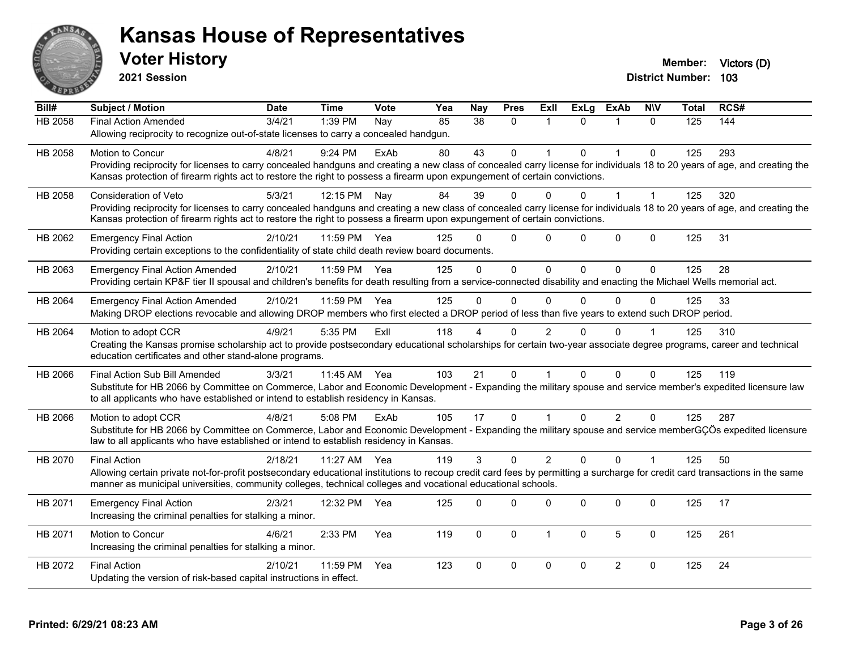

**2021 Session**

| Bill#   | <b>Subject / Motion</b>                                                                                                                                                      | <b>Date</b> | <b>Time</b>  | Vote | Yea | <b>Nay</b>    | <b>Pres</b>  | Exll           | <b>ExLg</b> | <b>ExAb</b>    | <b>NIV</b>   | <b>Total</b> | RCS# |
|---------|------------------------------------------------------------------------------------------------------------------------------------------------------------------------------|-------------|--------------|------|-----|---------------|--------------|----------------|-------------|----------------|--------------|--------------|------|
| HB 2058 | <b>Final Action Amended</b>                                                                                                                                                  | 3/4/21      | 1:39 PM      | Nay  | 85  | 38            | $\mathbf{0}$ | -1             | $\Omega$    |                | $\Omega$     | 125          | 144  |
|         | Allowing reciprocity to recognize out-of-state licenses to carry a concealed handgun.                                                                                        |             |              |      |     |               |              |                |             |                |              |              |      |
| HB 2058 | Motion to Concur                                                                                                                                                             | 4/8/21      | $9:24$ PM    | ExAb | 80  | 43            | $\Omega$     |                | $\Omega$    | $\mathbf 1$    | $\Omega$     | 125          | 293  |
|         | Providing reciprocity for licenses to carry concealed handguns and creating a new class of concealed carry license for individuals 18 to 20 years of age, and creating the   |             |              |      |     |               |              |                |             |                |              |              |      |
|         | Kansas protection of firearm rights act to restore the right to possess a firearm upon expungement of certain convictions.                                                   |             |              |      |     |               |              |                |             |                |              |              |      |
| HB 2058 | <b>Consideration of Veto</b>                                                                                                                                                 | 5/3/21      | 12:15 PM     | Nay  | 84  | 39            | $\Omega$     | 0              | U           |                |              | 125          | 320  |
|         | Providing reciprocity for licenses to carry concealed handguns and creating a new class of concealed carry license for individuals 18 to 20 years of age, and creating the   |             |              |      |     |               |              |                |             |                |              |              |      |
|         | Kansas protection of firearm rights act to restore the right to possess a firearm upon expungement of certain convictions.                                                   |             |              |      |     |               |              |                |             |                |              |              |      |
| HB 2062 | <b>Emergency Final Action</b>                                                                                                                                                | 2/10/21     | 11:59 PM     | Yea  | 125 | ∩             | $\Omega$     | $\Omega$       | $\Omega$    | 0              | $\mathbf 0$  | 125          | 31   |
|         | Providing certain exceptions to the confidentiality of state child death review board documents.                                                                             |             |              |      |     |               |              |                |             |                |              |              |      |
| HB 2063 | <b>Emergency Final Action Amended</b>                                                                                                                                        | 2/10/21     | 11:59 PM Yea |      | 125 | $\Omega$      | $\mathbf 0$  | $\Omega$       | $\Omega$    | $\Omega$       | $\Omega$     | 125          | 28   |
|         | Providing certain KP&F tier II spousal and children's benefits for death resulting from a service-connected disability and enacting the Michael Wells memorial act.          |             |              |      |     |               |              |                |             |                |              |              |      |
| HB 2064 | <b>Emergency Final Action Amended</b>                                                                                                                                        | 2/10/21     | 11:59 PM     | Yea  | 125 | $\Omega$      | $\mathbf 0$  | $\mathbf{0}$   | $\Omega$    | $\Omega$       | $\Omega$     | 125          | 33   |
|         | Making DROP elections revocable and allowing DROP members who first elected a DROP period of less than five years to extend such DROP period.                                |             |              |      |     |               |              |                |             |                |              |              |      |
| HB 2064 | Motion to adopt CCR                                                                                                                                                          | 4/9/21      | 5:35 PM      | ExIl | 118 |               | $\Omega$     | $\overline{2}$ | 0           | $\Omega$       |              | 125          | 310  |
|         | Creating the Kansas promise scholarship act to provide postsecondary educational scholarships for certain two-year associate degree programs, career and technical           |             |              |      |     |               |              |                |             |                |              |              |      |
|         | education certificates and other stand-alone programs.                                                                                                                       |             |              |      |     |               |              |                |             |                |              |              |      |
| HB 2066 | Final Action Sub Bill Amended                                                                                                                                                | 3/3/21      | 11:45 AM Yea |      | 103 | 21            | $\Omega$     |                | $\Omega$    | $\Omega$       | $\Omega$     | 125          | 119  |
|         | Substitute for HB 2066 by Committee on Commerce, Labor and Economic Development - Expanding the military spouse and service member's expedited licensure law                 |             |              |      |     |               |              |                |             |                |              |              |      |
|         | to all applicants who have established or intend to establish residency in Kansas.                                                                                           |             |              |      |     |               |              |                |             |                |              |              |      |
| HB 2066 | Motion to adopt CCR                                                                                                                                                          | 4/8/21      | 5:08 PM      | ExAb | 105 | 17            | $\mathbf 0$  |                | $\Omega$    | $\overline{2}$ | $\Omega$     | 125          | 287  |
|         | Substitute for HB 2066 by Committee on Commerce, Labor and Economic Development - Expanding the military spouse and service memberGÇÖs expedited licensure                   |             |              |      |     |               |              |                |             |                |              |              |      |
|         | law to all applicants who have established or intend to establish residency in Kansas.                                                                                       |             |              |      |     |               |              |                |             |                |              |              |      |
| HB 2070 | <b>Final Action</b>                                                                                                                                                          | 2/18/21     | 11:27 AM     | Yea  | 119 | $\mathcal{S}$ | $\Omega$     | $\overline{2}$ | $\Omega$    | $\Omega$       | $\mathbf{1}$ | 125          | 50   |
|         | Allowing certain private not-for-profit postsecondary educational institutions to recoup credit card fees by permitting a surcharge for credit card transactions in the same |             |              |      |     |               |              |                |             |                |              |              |      |
|         | manner as municipal universities, community colleges, technical colleges and vocational educational schools.                                                                 |             |              |      |     |               |              |                |             |                |              |              |      |
| HB 2071 | <b>Emergency Final Action</b>                                                                                                                                                | 2/3/21      | 12:32 PM     | Yea  | 125 | $\Omega$      | 0            | 0              | 0           | 0              | $\mathbf 0$  | 125          | 17   |
|         | Increasing the criminal penalties for stalking a minor.                                                                                                                      |             |              |      |     |               |              |                |             |                |              |              |      |
| HB 2071 | Motion to Concur                                                                                                                                                             | 4/6/21      | 2:33 PM      | Yea  | 119 | $\mathbf 0$   | $\mathbf 0$  | $\overline{1}$ | 0           | 5              | $\mathbf 0$  | 125          | 261  |
|         | Increasing the criminal penalties for stalking a minor.                                                                                                                      |             |              |      |     |               |              |                |             |                |              |              |      |
| HB 2072 | <b>Final Action</b>                                                                                                                                                          | 2/10/21     | 11:59 PM     | Yea  | 123 | $\Omega$      | $\mathbf 0$  | $\mathbf 0$    | $\Omega$    | $\overline{2}$ | $\mathbf 0$  | 125          | 24   |
|         | Updating the version of risk-based capital instructions in effect.                                                                                                           |             |              |      |     |               |              |                |             |                |              |              |      |
|         |                                                                                                                                                                              |             |              |      |     |               |              |                |             |                |              |              |      |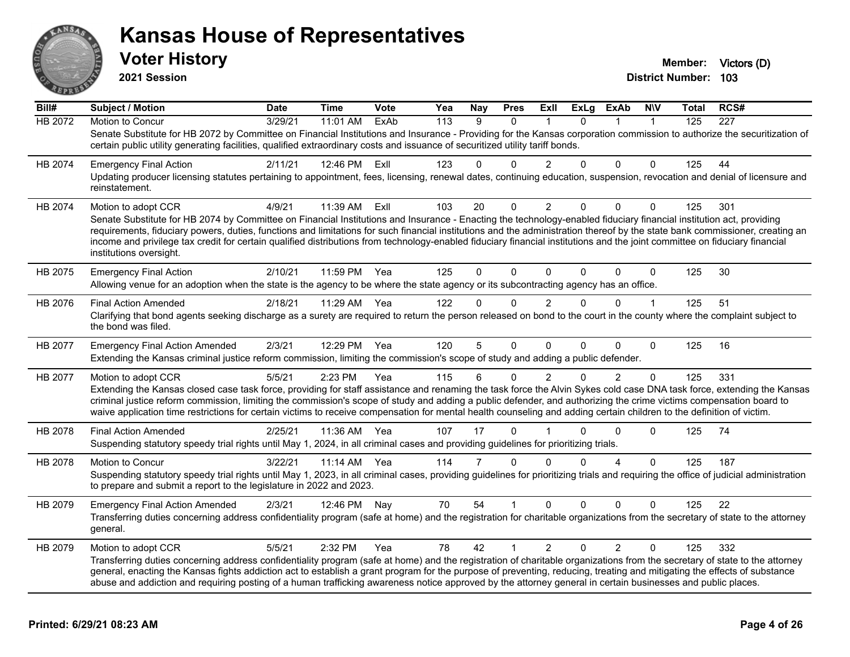

**2021 Session**

**District Number: 103 Voter History Member: Victors** (D)

| Bill#          | <b>Subject / Motion</b>                                                                                                                                                                                                                                                                                                                                                                                                                                                                                                                                       | <b>Date</b> | <b>Time</b> | Vote | Yea | Nay            | <b>Pres</b>  | ExII           | <b>ExLg</b> | <b>ExAb</b>    | <b>NIV</b>   | <b>Total</b> | RCS# |
|----------------|---------------------------------------------------------------------------------------------------------------------------------------------------------------------------------------------------------------------------------------------------------------------------------------------------------------------------------------------------------------------------------------------------------------------------------------------------------------------------------------------------------------------------------------------------------------|-------------|-------------|------|-----|----------------|--------------|----------------|-------------|----------------|--------------|--------------|------|
| <b>HB 2072</b> | Motion to Concur                                                                                                                                                                                                                                                                                                                                                                                                                                                                                                                                              | 3/29/21     | 11:01 AM    | ExAb | 113 | 9              | 0            | 1              | $\Omega$    | 1              | $\mathbf{1}$ | 125          | 227  |
|                | Senate Substitute for HB 2072 by Committee on Financial Institutions and Insurance - Providing for the Kansas corporation commission to authorize the securitization of<br>certain public utility generating facilities, qualified extraordinary costs and issuance of securitized utility tariff bonds.                                                                                                                                                                                                                                                      |             |             |      |     |                |              |                |             |                |              |              |      |
|                |                                                                                                                                                                                                                                                                                                                                                                                                                                                                                                                                                               |             |             |      |     |                |              |                |             |                |              |              |      |
| HB 2074        | <b>Emergency Final Action</b>                                                                                                                                                                                                                                                                                                                                                                                                                                                                                                                                 | 2/11/21     | 12:46 PM    | Exll | 123 | $\Omega$       | 0            | $\overline{2}$ | 0           | $\Omega$       | 0            | 125          | 44   |
|                | Updating producer licensing statutes pertaining to appointment, fees, licensing, renewal dates, continuing education, suspension, revocation and denial of licensure and<br>reinstatement.                                                                                                                                                                                                                                                                                                                                                                    |             |             |      |     |                |              |                |             |                |              |              |      |
| HB 2074        | Motion to adopt CCR                                                                                                                                                                                                                                                                                                                                                                                                                                                                                                                                           | 4/9/21      | 11:39 AM    | Exll | 103 | 20             | 0            | $\overline{2}$ | 0           | 0              | 0            | 125          | 301  |
|                | Senate Substitute for HB 2074 by Committee on Financial Institutions and Insurance - Enacting the technology-enabled fiduciary financial institution act, providing<br>requirements, fiduciary powers, duties, functions and limitations for such financial institutions and the administration thereof by the state bank commissioner, creating an<br>income and privilege tax credit for certain qualified distributions from technology-enabled fiduciary financial institutions and the joint committee on fiduciary financial<br>institutions oversight. |             |             |      |     |                |              |                |             |                |              |              |      |
| HB 2075        | <b>Emergency Final Action</b>                                                                                                                                                                                                                                                                                                                                                                                                                                                                                                                                 | 2/10/21     | 11:59 PM    | Yea  | 125 | $\Omega$       | $\Omega$     | $\mathbf{0}$   | $\Omega$    | 0              | $\mathbf 0$  | 125          | 30   |
|                | Allowing venue for an adoption when the state is the agency to be where the state agency or its subcontracting agency has an office.                                                                                                                                                                                                                                                                                                                                                                                                                          |             |             |      |     |                |              |                |             |                |              |              |      |
| HB 2076        | <b>Final Action Amended</b>                                                                                                                                                                                                                                                                                                                                                                                                                                                                                                                                   | 2/18/21     | 11:29 AM    | Yea  | 122 | 0              | 0            | $\overline{2}$ | 0           | $\Omega$       | $\mathbf{1}$ | 125          | 51   |
|                | Clarifying that bond agents seeking discharge as a surety are required to return the person released on bond to the court in the county where the complaint subject to<br>the bond was filed.                                                                                                                                                                                                                                                                                                                                                                 |             |             |      |     |                |              |                |             |                |              |              |      |
| HB 2077        | <b>Emergency Final Action Amended</b>                                                                                                                                                                                                                                                                                                                                                                                                                                                                                                                         | 2/3/21      | 12:29 PM    | Yea  | 120 | 5              | 0            | $\mathbf{0}$   | 0           | $\Omega$       | 0            | 125          | 16   |
|                | Extending the Kansas criminal justice reform commission, limiting the commission's scope of study and adding a public defender.                                                                                                                                                                                                                                                                                                                                                                                                                               |             |             |      |     |                |              |                |             |                |              |              |      |
| HB 2077        | Motion to adopt CCR                                                                                                                                                                                                                                                                                                                                                                                                                                                                                                                                           | 5/5/21      | 2:23 PM     | Yea  | 115 | 6              | 0            | 2              | $\Omega$    | $\overline{2}$ | 0            | 125          | 331  |
|                | Extending the Kansas closed case task force, providing for staff assistance and renaming the task force the Alvin Sykes cold case DNA task force, extending the Kansas<br>criminal justice reform commission, limiting the commission's scope of study and adding a public defender, and authorizing the crime victims compensation board to<br>waive application time restrictions for certain victims to receive compensation for mental health counseling and adding certain children to the definition of victim.                                         |             |             |      |     |                |              |                |             |                |              |              |      |
| HB 2078        | <b>Final Action Amended</b>                                                                                                                                                                                                                                                                                                                                                                                                                                                                                                                                   | 2/25/21     | 11:36 AM    | Yea  | 107 | 17             | $\Omega$     |                | n           | $\Omega$       | 0            | 125          | 74   |
|                | Suspending statutory speedy trial rights until May 1, 2024, in all criminal cases and providing guidelines for prioritizing trials.                                                                                                                                                                                                                                                                                                                                                                                                                           |             |             |      |     |                |              |                |             |                |              |              |      |
| HB 2078        | <b>Motion to Concur</b>                                                                                                                                                                                                                                                                                                                                                                                                                                                                                                                                       | 3/22/21     | 11:14 AM    | Yea  | 114 | $\overline{7}$ | $\Omega$     | $\Omega$       | 0           | 4              | $\Omega$     | 125          | 187  |
|                | Suspending statutory speedy trial rights until May 1, 2023, in all criminal cases, providing guidelines for prioritizing trials and requiring the office of judicial administration<br>to prepare and submit a report to the legislature in 2022 and 2023.                                                                                                                                                                                                                                                                                                    |             |             |      |     |                |              |                |             |                |              |              |      |
| HB 2079        | <b>Emergency Final Action Amended</b>                                                                                                                                                                                                                                                                                                                                                                                                                                                                                                                         | 2/3/21      | 12:46 PM    | Nay  | 70  | 54             |              | $\Omega$       | $\Omega$    | $\Omega$       | 0            | 125          | 22   |
|                | Transferring duties concerning address confidentiality program (safe at home) and the registration for charitable organizations from the secretary of state to the attorney<br>general.                                                                                                                                                                                                                                                                                                                                                                       |             |             |      |     |                |              |                |             |                |              |              |      |
| HB 2079        | Motion to adopt CCR                                                                                                                                                                                                                                                                                                                                                                                                                                                                                                                                           | 5/5/21      | 2:32 PM     | Yea  | 78  | 42             | $\mathbf{1}$ | $\overline{2}$ | $\Omega$    | $\overline{2}$ | 0            | 125          | 332  |
|                | Transferring duties concerning address confidentiality program (safe at home) and the registration of charitable organizations from the secretary of state to the attorney<br>general, enacting the Kansas fights addiction act to establish a grant program for the purpose of preventing, reducing, treating and mitigating the effects of substance<br>abuse and addiction and requiring posting of a human trafficking awareness notice approved by the attorney general in certain businesses and public places.                                         |             |             |      |     |                |              |                |             |                |              |              |      |
|                |                                                                                                                                                                                                                                                                                                                                                                                                                                                                                                                                                               |             |             |      |     |                |              |                |             |                |              |              |      |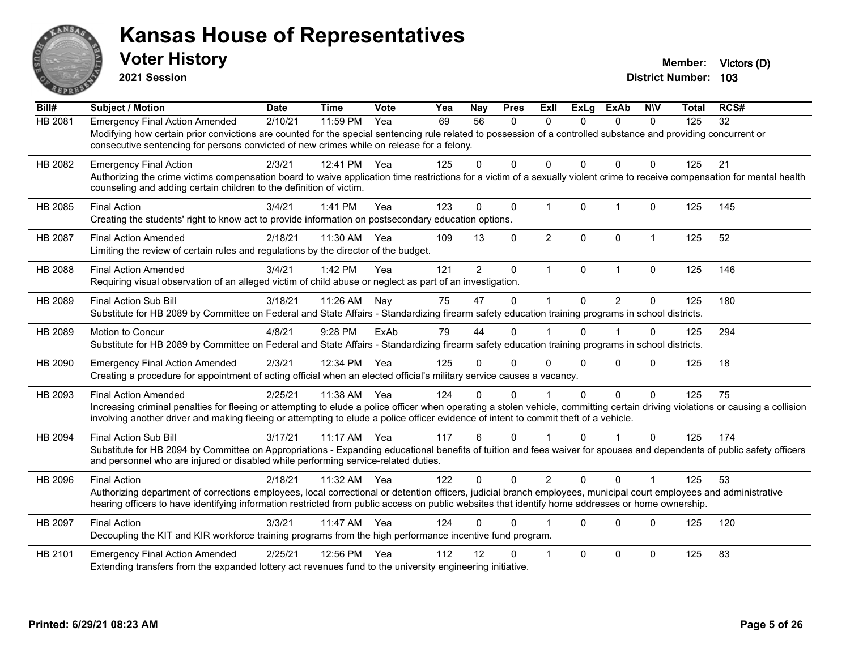

**2021 Session**

**Bill# Subject / Motion Date Time Vote Yea Nay Pres Exll ExLg ExAb N\V Total RCS#** HB 2081 Emergency Final Action Amended 2/10/21 11:59 PM Yea 69 56 0 0 0 0 0 125 32 Modifying how certain prior convictions are counted for the special sentencing rule related to possession of a controlled substance and providing concurrent or consecutive sentencing for persons convicted of new crimes while on release for a felony. HB 2082 Emergency Final Action 2/3/21 12:41 PM Yea 125 0 0 0 0 0 0 125 21 Authorizing the crime victims compensation board to waive application time restrictions for a victim of a sexually violent crime to receive compensation for mental health counseling and adding certain children to the definition of victim. HB 2085 Final Action 3/4/21 1:41 PM Yea 123 0 0 1 0 1 0 125 145 Creating the students' right to know act to provide information on postsecondary education options. HB 2087 Final Action Amended 2/18/21 11:30 AM Yea 109 13 0 2 0 0 1 125 52 Limiting the review of certain rules and regulations by the director of the budget. HB 2088 Final Action Amended 3/4/21 1:42 PM Yea 121 2 0 1 0 1 0 125 146 Requiring visual observation of an alleged victim of child abuse or neglect as part of an investigation. HB 2089 Final Action Sub Bill 3/18/21 11:26 AM Nay 75 47 0 1 0 2 0 125 180 Substitute for HB 2089 by Committee on Federal and State Affairs - Standardizing firearm safety education training programs in school districts. HB 2089 Motion to Concur 4/8/21 9:28 PM ExAb 79 44 0 1 0 1 0 125 294 Substitute for HB 2089 by Committee on Federal and State Affairs - Standardizing firearm safety education training programs in school districts. HB 2090 Emergency Final Action Amended 2/3/21 12:34 PM Yea 125 0 0 0 0 0 0 0 125 18 Creating a procedure for appointment of acting official when an elected official's military service causes a vacancy. HB 2093 Final Action Amended 2/25/21 11:38 AM Yea 124 0 0 1 0 0 0 125 75 Increasing criminal penalties for fleeing or attempting to elude a police officer when operating a stolen vehicle, committing certain driving violations or causing a collision involving another driver and making fleeing or attempting to elude a police officer evidence of intent to commit theft of a vehicle. HB 2094 Final Action Sub Bill 3/17/21 11:17 AM Yea 117 6 0 1 0 1 0 125 174 Substitute for HB 2094 by Committee on Appropriations - Expanding educational benefits of tuition and fees waiver for spouses and dependents of public safety officers and personnel who are injured or disabled while performing service-related duties. HB 2096 Final Action 2/18/21 11:32 AM Yea 122 0 0 2 0 0 1 125 53 Authorizing department of corrections employees, local correctional or detention officers, judicial branch employees, municipal court employees and administrative hearing officers to have identifying information restricted from public access on public websites that identify home addresses or home ownership. HB 2097 Final Action 3/3/21 11:47 AM Yea 124 0 0 1 0 0 0 125 120 Decoupling the KIT and KIR workforce training programs from the high performance incentive fund program. HB 2101 Emergency Final Action Amended 2/25/21 12:56 PM Yea 112 12 0 1 0 0 0 0 125 83 Extending transfers from the expanded lottery act revenues fund to the university engineering initiative.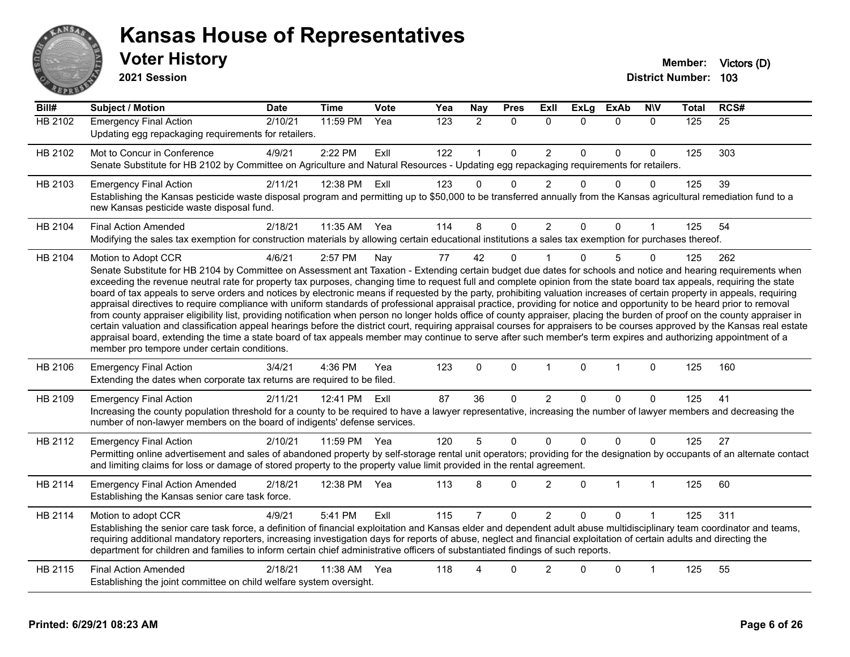

| Bill#   | <b>Subject / Motion</b>                                                                                                                                                                                                                                                                                                                                                                                                                                                                                                                                                                                                                                                                                                                                                                                                                                                                                                                                                                                                                                                                                                                                                                                                                                                                                     | <b>Date</b> | <b>Time</b> | Vote | Yea | Nay            | <b>Pres</b>  | ExII           | <b>ExLg</b>  | <b>ExAb</b>  | <b>NIV</b>   | <b>Total</b> | RCS# |
|---------|-------------------------------------------------------------------------------------------------------------------------------------------------------------------------------------------------------------------------------------------------------------------------------------------------------------------------------------------------------------------------------------------------------------------------------------------------------------------------------------------------------------------------------------------------------------------------------------------------------------------------------------------------------------------------------------------------------------------------------------------------------------------------------------------------------------------------------------------------------------------------------------------------------------------------------------------------------------------------------------------------------------------------------------------------------------------------------------------------------------------------------------------------------------------------------------------------------------------------------------------------------------------------------------------------------------|-------------|-------------|------|-----|----------------|--------------|----------------|--------------|--------------|--------------|--------------|------|
| HB 2102 | <b>Emergency Final Action</b><br>Updating egg repackaging requirements for retailers.                                                                                                                                                                                                                                                                                                                                                                                                                                                                                                                                                                                                                                                                                                                                                                                                                                                                                                                                                                                                                                                                                                                                                                                                                       | 2/10/21     | 11:59 PM    | Yea  | 123 | $\overline{2}$ | $\Omega$     | $\mathbf{0}$   | $\mathbf{0}$ | $\Omega$     | $\Omega$     | 125          | 25   |
| HB 2102 | Mot to Concur in Conference<br>Senate Substitute for HB 2102 by Committee on Agriculture and Natural Resources - Updating egg repackaging requirements for retailers.                                                                                                                                                                                                                                                                                                                                                                                                                                                                                                                                                                                                                                                                                                                                                                                                                                                                                                                                                                                                                                                                                                                                       | 4/9/21      | 2:22 PM     | Exll | 122 | $\mathbf{1}$   | $\mathbf 0$  | $\overline{2}$ | $\Omega$     | $\mathbf 0$  | $\mathbf 0$  | 125          | 303  |
| HB 2103 | <b>Emergency Final Action</b><br>Establishing the Kansas pesticide waste disposal program and permitting up to \$50,000 to be transferred annually from the Kansas agricultural remediation fund to a<br>new Kansas pesticide waste disposal fund.                                                                                                                                                                                                                                                                                                                                                                                                                                                                                                                                                                                                                                                                                                                                                                                                                                                                                                                                                                                                                                                          | 2/11/21     | 12:38 PM    | ExII | 123 | 0              | $\Omega$     | $\overline{2}$ | $\Omega$     | 0            | 0            | 125          | 39   |
| HB 2104 | <b>Final Action Amended</b><br>Modifying the sales tax exemption for construction materials by allowing certain educational institutions a sales tax exemption for purchases thereof.                                                                                                                                                                                                                                                                                                                                                                                                                                                                                                                                                                                                                                                                                                                                                                                                                                                                                                                                                                                                                                                                                                                       | 2/18/21     | 11:35 AM    | Yea  | 114 | 8              | $\Omega$     | 2              | $\Omega$     | $\Omega$     | 1            | 125          | 54   |
| HB 2104 | Motion to Adopt CCR<br>Senate Substitute for HB 2104 by Committee on Assessment ant Taxation - Extending certain budget due dates for schools and notice and hearing requirements when<br>exceeding the revenue neutral rate for property tax purposes, changing time to request full and complete opinion from the state board tax appeals, requiring the state<br>board of tax appeals to serve orders and notices by electronic means if requested by the party, prohibiting valuation increases of certain property in appeals, requiring<br>appraisal directives to require compliance with uniform standards of professional appraisal practice, providing for notice and opportunity to be heard prior to removal<br>from county appraiser eligibility list, providing notification when person no longer holds office of county appraiser, placing the burden of proof on the county appraiser in<br>certain valuation and classification appeal hearings before the district court, requiring appraisal courses for appraisers to be courses approved by the Kansas real estate<br>appraisal board, extending the time a state board of tax appeals member may continue to serve after such member's term expires and authorizing appointment of a<br>member pro tempore under certain conditions. | 4/6/21      | 2:57 PM     | Nay  | 77  | 42             | $\Omega$     |                | $\Omega$     | 5            | $\mathbf{0}$ | 125          | 262  |
| HB 2106 | <b>Emergency Final Action</b><br>Extending the dates when corporate tax returns are required to be filed.                                                                                                                                                                                                                                                                                                                                                                                                                                                                                                                                                                                                                                                                                                                                                                                                                                                                                                                                                                                                                                                                                                                                                                                                   | 3/4/21      | 4:36 PM     | Yea  | 123 | 0              | $\mathbf{0}$ | $\mathbf 1$    | $\Omega$     | 1            | $\Omega$     | 125          | 160  |
| HB 2109 | <b>Emergency Final Action</b><br>Increasing the county population threshold for a county to be required to have a lawyer representative, increasing the number of lawyer members and decreasing the<br>number of non-lawyer members on the board of indigents' defense services.                                                                                                                                                                                                                                                                                                                                                                                                                                                                                                                                                                                                                                                                                                                                                                                                                                                                                                                                                                                                                            | 2/11/21     | 12:41 PM    | ExIl | 87  | 36             | $\mathbf 0$  | $\overline{2}$ | $\Omega$     | $\Omega$     | $\Omega$     | 125          | 41   |
| HB 2112 | <b>Emergency Final Action</b><br>Permitting online advertisement and sales of abandoned property by self-storage rental unit operators; providing for the designation by occupants of an alternate contact<br>and limiting claims for loss or damage of stored property to the property value limit provided in the rental agreement.                                                                                                                                                                                                                                                                                                                                                                                                                                                                                                                                                                                                                                                                                                                                                                                                                                                                                                                                                                       | 2/10/21     | 11:59 PM    | Yea  | 120 | 5              | $\mathbf 0$  | $\Omega$       | $\Omega$     | 0            | $\mathbf{0}$ | 125          | 27   |
| HB 2114 | <b>Emergency Final Action Amended</b><br>Establishing the Kansas senior care task force.                                                                                                                                                                                                                                                                                                                                                                                                                                                                                                                                                                                                                                                                                                                                                                                                                                                                                                                                                                                                                                                                                                                                                                                                                    | 2/18/21     | 12:38 PM    | Yea  | 113 | 8              | $\Omega$     | $\overline{2}$ | $\Omega$     | $\mathbf{1}$ | $\mathbf{1}$ | 125          | 60   |
| HB 2114 | Motion to adopt CCR<br>Establishing the senior care task force, a definition of financial exploitation and Kansas elder and dependent adult abuse multidisciplinary team coordinator and teams,<br>requiring additional mandatory reporters, increasing investigation days for reports of abuse, neglect and financial exploitation of certain adults and directing the<br>department for children and families to inform certain chief administrative officers of substantiated findings of such reports.                                                                                                                                                                                                                                                                                                                                                                                                                                                                                                                                                                                                                                                                                                                                                                                                  | 4/9/21      | 5:41 PM     | ExIl | 115 | 7              | $\Omega$     | $\overline{2}$ | $\Omega$     | $\Omega$     |              | 125          | 311  |
| HB 2115 | <b>Final Action Amended</b><br>Establishing the joint committee on child welfare system oversight.                                                                                                                                                                                                                                                                                                                                                                                                                                                                                                                                                                                                                                                                                                                                                                                                                                                                                                                                                                                                                                                                                                                                                                                                          | 2/18/21     | 11:38 AM    | Yea  | 118 | Δ              | 0            | $\overline{2}$ | U            | 0            | 1            | 125          | 55   |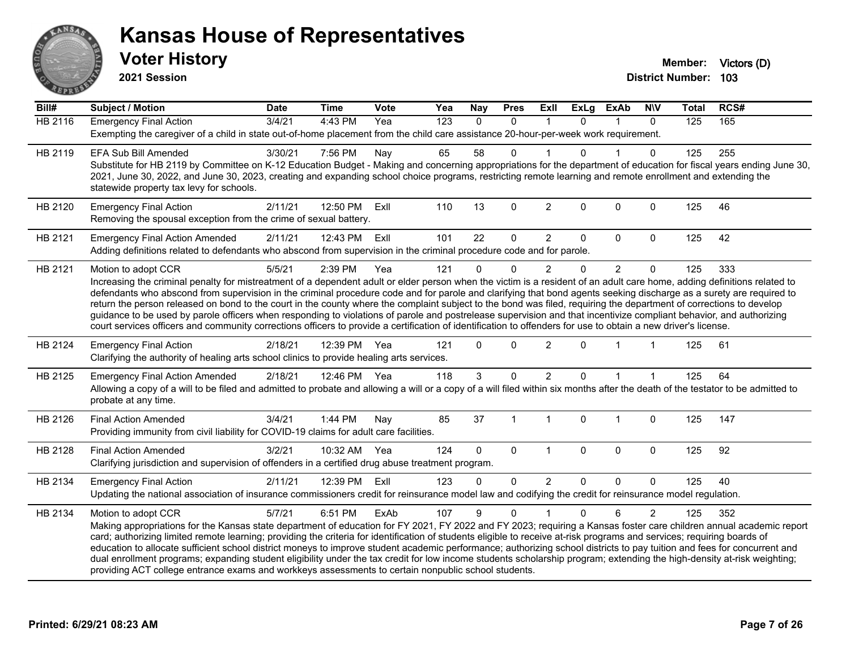

**2021 Session**

| Bill#   | <b>Subject / Motion</b>                                                                                                                                                                                                                                                                                                                                                                                                                                                                                                                                                                                                                                                                                                                                                                                                                                                                | <b>Date</b> | <b>Time</b> | Vote | Yea | <b>Nay</b>   | <b>Pres</b>  | <b>ExII</b>    | <b>ExLg</b> | <b>ExAb</b>    | <b>N\V</b>     | <b>Total</b> | RCS# |
|---------|----------------------------------------------------------------------------------------------------------------------------------------------------------------------------------------------------------------------------------------------------------------------------------------------------------------------------------------------------------------------------------------------------------------------------------------------------------------------------------------------------------------------------------------------------------------------------------------------------------------------------------------------------------------------------------------------------------------------------------------------------------------------------------------------------------------------------------------------------------------------------------------|-------------|-------------|------|-----|--------------|--------------|----------------|-------------|----------------|----------------|--------------|------|
| HB 2116 | <b>Emergency Final Action</b><br>Exempting the caregiver of a child in state out-of-home placement from the child care assistance 20-hour-per-week work requirement.                                                                                                                                                                                                                                                                                                                                                                                                                                                                                                                                                                                                                                                                                                                   | 3/4/21      | 4:43 PM     | Yea  | 123 | $\mathbf{0}$ | $\mathbf 0$  | $\mathbf{1}$   | $\Omega$    | 1              | $\Omega$       | 125          | 165  |
| HB 2119 | <b>EFA Sub Bill Amended</b><br>Substitute for HB 2119 by Committee on K-12 Education Budget - Making and concerning appropriations for the department of education for fiscal years ending June 30,<br>2021, June 30, 2022, and June 30, 2023, creating and expanding school choice programs, restricting remote learning and remote enrollment and extending the<br>statewide property tax levy for schools.                                                                                                                                                                                                                                                                                                                                                                                                                                                                          | 3/30/21     | 7:56 PM     | Nay  | 65  | 58           | 0            |                | 0           |                | $\mathbf{0}$   | 125          | 255  |
| HB 2120 | <b>Emergency Final Action</b><br>Removing the spousal exception from the crime of sexual battery.                                                                                                                                                                                                                                                                                                                                                                                                                                                                                                                                                                                                                                                                                                                                                                                      | 2/11/21     | 12:50 PM    | Exll | 110 | 13           | $\mathbf 0$  | $\overline{2}$ | 0           | $\mathbf{0}$   | $\mathbf 0$    | 125          | 46   |
| HB 2121 | <b>Emergency Final Action Amended</b><br>Adding definitions related to defendants who abscond from supervision in the criminal procedure code and for parole.                                                                                                                                                                                                                                                                                                                                                                                                                                                                                                                                                                                                                                                                                                                          | 2/11/21     | 12:43 PM    | Exll | 101 | 22           | $\mathbf 0$  | $\overline{2}$ | 0           | $\mathbf 0$    | 0              | 125          | 42   |
| HB 2121 | Motion to adopt CCR<br>Increasing the criminal penalty for mistreatment of a dependent adult or elder person when the victim is a resident of an adult care home, adding definitions related to<br>defendants who abscond from supervision in the criminal procedure code and for parole and clarifying that bond agents seeking discharge as a surety are required to<br>return the person released on bond to the court in the county where the complaint subject to the bond was filed, requiring the department of corrections to develop<br>guidance to be used by parole officers when responding to violations of parole and postrelease supervision and that incentivize compliant behavior, and authorizing<br>court services officers and community corrections officers to provide a certification of identification to offenders for use to obtain a new driver's license. | 5/5/21      | 2:39 PM     | Yea  | 121 | $\Omega$     | $\Omega$     | $\overline{2}$ | 0           | $\overline{2}$ | $\mathbf{0}$   | 125          | 333  |
| HB 2124 | <b>Emergency Final Action</b><br>Clarifying the authority of healing arts school clinics to provide healing arts services.                                                                                                                                                                                                                                                                                                                                                                                                                                                                                                                                                                                                                                                                                                                                                             | 2/18/21     | 12:39 PM    | Yea  | 121 | $\Omega$     | $\Omega$     | $\overline{2}$ | 0           |                | $\mathbf{1}$   | 125          | 61   |
| HB 2125 | <b>Emergency Final Action Amended</b><br>Allowing a copy of a will to be filed and admitted to probate and allowing a will or a copy of a will filed within six months after the death of the testator to be admitted to<br>probate at any time.                                                                                                                                                                                                                                                                                                                                                                                                                                                                                                                                                                                                                                       | 2/18/21     | 12:46 PM    | Yea  | 118 | 3            | 0            | 2              | 0           |                |                | 125          | 64   |
| HB 2126 | <b>Final Action Amended</b><br>Providing immunity from civil liability for COVID-19 claims for adult care facilities.                                                                                                                                                                                                                                                                                                                                                                                                                                                                                                                                                                                                                                                                                                                                                                  | 3/4/21      | 1:44 PM     | Nay  | 85  | 37           | $\mathbf{1}$ | $\overline{1}$ | 0           | -1             | $\mathbf 0$    | 125          | 147  |
| HB 2128 | <b>Final Action Amended</b><br>Clarifying jurisdiction and supervision of offenders in a certified drug abuse treatment program.                                                                                                                                                                                                                                                                                                                                                                                                                                                                                                                                                                                                                                                                                                                                                       | 3/2/21      | 10:32 AM    | Yea  | 124 | $\Omega$     | $\Omega$     | $\overline{1}$ | 0           | $\mathbf{0}$   | $\mathbf 0$    | 125          | 92   |
| HB 2134 | <b>Emergency Final Action</b><br>Updating the national association of insurance commissioners credit for reinsurance model law and codifying the credit for reinsurance model regulation.                                                                                                                                                                                                                                                                                                                                                                                                                                                                                                                                                                                                                                                                                              | 2/11/21     | 12:39 PM    | Exll | 123 | $\Omega$     | $\mathbf 0$  | $\overline{2}$ | $\Omega$    | $\Omega$       | $\mathbf{0}$   | 125          | 40   |
| HB 2134 | Motion to adopt CCR<br>Making appropriations for the Kansas state department of education for FY 2021, FY 2022 and FY 2023; requiring a Kansas foster care children annual academic report<br>card; authorizing limited remote learning; providing the criteria for identification of students eligible to receive at-risk programs and services; requiring boards of<br>education to allocate sufficient school district moneys to improve student academic performance; authorizing school districts to pay tuition and fees for concurrent and<br>dual enrollment programs; expanding student eligibility under the tax credit for low income students scholarship program; extending the high-density at-risk weighting;<br>providing ACT college entrance exams and workkeys assessments to certain nonpublic school students.                                                    | 5/7/21      | 6:51 PM     | ExAb | 107 | 9            | $\Omega$     |                | $\Omega$    | 6              | $\overline{2}$ | 125          | 352  |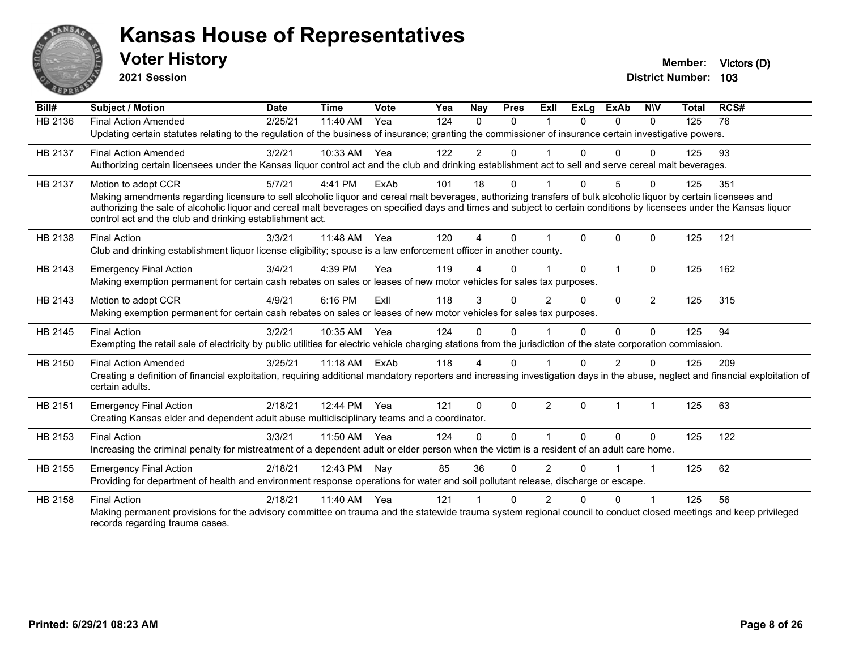

**2021 Session**

| Bill#   | <b>Subject / Motion</b>                                                                                                                                                         | <b>Date</b> | <b>Time</b> | Vote | Yea | Nay          | <b>Pres</b> | ExIl          | <b>ExLg</b> | <b>ExAb</b>    | <b>NIV</b>     | Total | RCS# |
|---------|---------------------------------------------------------------------------------------------------------------------------------------------------------------------------------|-------------|-------------|------|-----|--------------|-------------|---------------|-------------|----------------|----------------|-------|------|
| HB 2136 | <b>Final Action Amended</b>                                                                                                                                                     | 2/25/21     | 11:40 AM    | Yea  | 124 | $\Omega$     | $\Omega$    |               | $\Omega$    | $\Omega$       | $\Omega$       | 125   | 76   |
|         | Updating certain statutes relating to the regulation of the business of insurance; granting the commissioner of insurance certain investigative powers.                         |             |             |      |     |              |             |               |             |                |                |       |      |
| HB 2137 | <b>Final Action Amended</b>                                                                                                                                                     | 3/2/21      | 10:33 AM    | Yea  | 122 | 2            | $\Omega$    |               | 0           | 0              | O              | 125   | 93   |
|         | Authorizing certain licensees under the Kansas liquor control act and the club and drinking establishment act to sell and serve cereal malt beverages.                          |             |             |      |     |              |             |               |             |                |                |       |      |
| HB 2137 | Motion to adopt CCR                                                                                                                                                             | 5/7/21      | 4:41 PM     | ExAb | 101 | 18           | $\Omega$    |               | $\Omega$    | 5              | $\Omega$       | 125   | 351  |
|         | Making amendments regarding licensure to sell alcoholic liquor and cereal malt beverages, authorizing transfers of bulk alcoholic liquor by certain licensees and               |             |             |      |     |              |             |               |             |                |                |       |      |
|         | authorizing the sale of alcoholic liquor and cereal malt beverages on specified days and times and subject to certain conditions by licensees under the Kansas liquor           |             |             |      |     |              |             |               |             |                |                |       |      |
|         | control act and the club and drinking establishment act.                                                                                                                        |             |             |      |     |              |             |               |             |                |                |       |      |
| HB 2138 | <b>Final Action</b>                                                                                                                                                             | 3/3/21      | 11:48 AM    | Yea  | 120 | 4            | $\Omega$    |               | $\Omega$    | 0              | $\mathbf 0$    | 125   | 121  |
|         | Club and drinking establishment liquor license eligibility; spouse is a law enforcement officer in another county.                                                              |             |             |      |     |              |             |               |             |                |                |       |      |
| HB 2143 | <b>Emergency Final Action</b>                                                                                                                                                   | 3/4/21      | 4:39 PM     | Yea  | 119 | 4            | $\Omega$    |               | $\Omega$    | 1              | $\mathbf{0}$   | 125   | 162  |
|         | Making exemption permanent for certain cash rebates on sales or leases of new motor vehicles for sales tax purposes.                                                            |             |             |      |     |              |             |               |             |                |                |       |      |
| HB 2143 | Motion to adopt CCR                                                                                                                                                             | 4/9/21      | 6:16 PM     | ExIl | 118 | 3            | $\Omega$    | $\mathcal{P}$ | $\Omega$    | $\mathbf{0}$   | $\overline{2}$ | 125   | 315  |
|         | Making exemption permanent for certain cash rebates on sales or leases of new motor vehicles for sales tax purposes.                                                            |             |             |      |     |              |             |               |             |                |                |       |      |
| HB 2145 | <b>Final Action</b>                                                                                                                                                             | 3/2/21      | 10:35 AM    | Yea  | 124 | 0            | $\Omega$    |               | 0           | $\Omega$       | $\Omega$       | 125   | 94   |
|         | Exempting the retail sale of electricity by public utilities for electric vehicle charging stations from the jurisdiction of the state corporation commission.                  |             |             |      |     |              |             |               |             |                |                |       |      |
| HB 2150 | <b>Final Action Amended</b>                                                                                                                                                     | 3/25/21     | $11:18$ AM  | ExAb | 118 | 4            | $\Omega$    |               | 0           | $\mathfrak{p}$ | $\Omega$       | 125   | 209  |
|         | Creating a definition of financial exploitation, requiring additional mandatory reporters and increasing investigation days in the abuse, neglect and financial exploitation of |             |             |      |     |              |             |               |             |                |                |       |      |
|         | certain adults.                                                                                                                                                                 |             |             |      |     |              |             |               |             |                |                |       |      |
| HB 2151 | <b>Emergency Final Action</b>                                                                                                                                                   | 2/18/21     | 12:44 PM    | Yea  | 121 | $\mathbf{0}$ | $\Omega$    | 2             | $\Omega$    | 1              | $\overline{1}$ | 125   | 63   |
|         | Creating Kansas elder and dependent adult abuse multidisciplinary teams and a coordinator.                                                                                      |             |             |      |     |              |             |               |             |                |                |       |      |
| HB 2153 | <b>Final Action</b>                                                                                                                                                             | 3/3/21      | 11:50 AM    | Yea  | 124 | $\mathbf{0}$ | $\Omega$    |               | $\Omega$    | 0              | $\Omega$       | 125   | 122  |
|         | Increasing the criminal penalty for mistreatment of a dependent adult or elder person when the victim is a resident of an adult care home.                                      |             |             |      |     |              |             |               |             |                |                |       |      |
| HB 2155 | <b>Emergency Final Action</b>                                                                                                                                                   | 2/18/21     | 12:43 PM    | Nay  | 85  | 36           | $\Omega$    | 2             | U           |                | 1              | 125   | 62   |
|         | Providing for department of health and environment response operations for water and soil pollutant release, discharge or escape.                                               |             |             |      |     |              |             |               |             |                |                |       |      |
| HB 2158 | <b>Final Action</b>                                                                                                                                                             | 2/18/21     | 11:40 AM    | Yea  | 121 |              | $\Omega$    |               | U           | $\Omega$       |                | 125   | 56   |
|         | Making permanent provisions for the advisory committee on trauma and the statewide trauma system regional council to conduct closed meetings and keep privileged                |             |             |      |     |              |             |               |             |                |                |       |      |
|         | records regarding trauma cases.                                                                                                                                                 |             |             |      |     |              |             |               |             |                |                |       |      |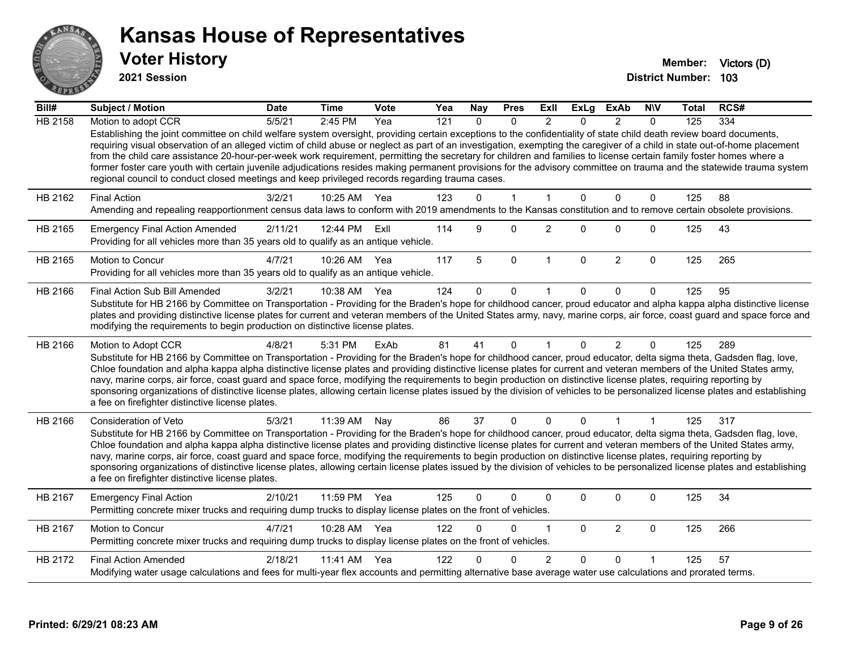

**2021 Session**

| Bill#          | <b>Subject / Motion</b>                                                                                                                                                                                                                                                                                                                                                                                                                                                                                                                                                                                                                                                                                                                                                                               | <b>Date</b> | <b>Time</b> | <b>Vote</b> | Yea | <b>Nay</b>  | <b>Pres</b>  | Exll           | ExLg        | <b>ExAb</b>    | <b>NIV</b>   | <b>Total</b> | RCS# |
|----------------|-------------------------------------------------------------------------------------------------------------------------------------------------------------------------------------------------------------------------------------------------------------------------------------------------------------------------------------------------------------------------------------------------------------------------------------------------------------------------------------------------------------------------------------------------------------------------------------------------------------------------------------------------------------------------------------------------------------------------------------------------------------------------------------------------------|-------------|-------------|-------------|-----|-------------|--------------|----------------|-------------|----------------|--------------|--------------|------|
| <b>HB 2158</b> | Motion to adopt CCR                                                                                                                                                                                                                                                                                                                                                                                                                                                                                                                                                                                                                                                                                                                                                                                   | 5/5/21      | 2:45 PM     | Yea         | 121 | $\Omega$    | $\Omega$     | $\mathfrak{p}$ | $\Omega$    | $\mathfrak{p}$ | $\Omega$     | 125          | 334  |
|                | Establishing the joint committee on child welfare system oversight, providing certain exceptions to the confidentiality of state child death review board documents,<br>requiring visual observation of an alleged victim of child abuse or neglect as part of an investigation, exempting the caregiver of a child in state out-of-home placement<br>from the child care assistance 20-hour-per-week work requirement, permitting the secretary for children and families to license certain family foster homes where a<br>former foster care youth with certain juvenile adjudications resides making permanent provisions for the advisory committee on trauma and the statewide trauma system<br>regional council to conduct closed meetings and keep privileged records regarding trauma cases. |             |             |             |     |             |              |                |             |                |              |              |      |
| HB 2162        | <b>Final Action</b>                                                                                                                                                                                                                                                                                                                                                                                                                                                                                                                                                                                                                                                                                                                                                                                   | 3/2/21      | 10:25 AM    | Yea         | 123 | $\mathbf 0$ | $\mathbf{1}$ | 1              | $\Omega$    | $\mathbf 0$    | 0            | 125          | 88   |
|                | Amending and repealing reapportionment census data laws to conform with 2019 amendments to the Kansas constitution and to remove certain obsolete provisions.                                                                                                                                                                                                                                                                                                                                                                                                                                                                                                                                                                                                                                         |             |             |             |     |             |              |                |             |                |              |              |      |
| HB 2165        | <b>Emergency Final Action Amended</b><br>Providing for all vehicles more than 35 years old to qualify as an antique vehicle.                                                                                                                                                                                                                                                                                                                                                                                                                                                                                                                                                                                                                                                                          | 2/11/21     | 12:44 PM    | ExII        | 114 | 9           | 0            | $\overline{2}$ | $\Omega$    | $\Omega$       | $\Omega$     | 125          | 43   |
| HB 2165        | <b>Motion to Concur</b>                                                                                                                                                                                                                                                                                                                                                                                                                                                                                                                                                                                                                                                                                                                                                                               | 4/7/21      | 10:26 AM    | Yea         | 117 | 5           | $\mathbf 0$  | -1             | $\mathbf 0$ | $\overline{c}$ | $\mathbf 0$  | 125          | 265  |
|                | Providing for all vehicles more than 35 years old to qualify as an antique vehicle.                                                                                                                                                                                                                                                                                                                                                                                                                                                                                                                                                                                                                                                                                                                   |             |             |             |     |             |              |                |             |                |              |              |      |
| HB 2166        | Final Action Sub Bill Amended                                                                                                                                                                                                                                                                                                                                                                                                                                                                                                                                                                                                                                                                                                                                                                         | 3/2/21      | 10:38 AM    | Yea         | 124 | 0           | $\Omega$     | 1              |             | $\Omega$       | $\Omega$     | 125          | 95   |
|                | Substitute for HB 2166 by Committee on Transportation - Providing for the Braden's hope for childhood cancer, proud educator and alpha kappa alpha distinctive license<br>plates and providing distinctive license plates for current and veteran members of the United States army, navy, marine corps, air force, coast guard and space force and<br>modifying the requirements to begin production on distinctive license plates.                                                                                                                                                                                                                                                                                                                                                                  |             |             |             |     |             |              |                |             |                |              |              |      |
| HB 2166        | Motion to Adopt CCR                                                                                                                                                                                                                                                                                                                                                                                                                                                                                                                                                                                                                                                                                                                                                                                   | 4/8/21      | 5:31 PM     | ExAb        | 81  | 41          | $\Omega$     | 1              | $\Omega$    | $\overline{2}$ | $\Omega$     | 125          | 289  |
|                | Substitute for HB 2166 by Committee on Transportation - Providing for the Braden's hope for childhood cancer, proud educator, delta sigma theta, Gadsden flag, love,<br>Chloe foundation and alpha kappa alpha distinctive license plates and providing distinctive license plates for current and veteran members of the United States army,<br>navy, marine corps, air force, coast guard and space force, modifying the requirements to begin production on distinctive license plates, requiring reporting by<br>sponsoring organizations of distinctive license plates, allowing certain license plates issued by the division of vehicles to be personalized license plates and establishing<br>a fee on firefighter distinctive license plates.                                                |             |             |             |     |             |              |                |             |                |              |              |      |
| HB 2166        | Consideration of Veto                                                                                                                                                                                                                                                                                                                                                                                                                                                                                                                                                                                                                                                                                                                                                                                 | 5/3/21      | 11:39 AM    | Nay         | 86  | 37          | $\mathbf{0}$ | $\Omega$       | $\Omega$    |                | $\mathbf{1}$ | 125          | 317  |
|                | Substitute for HB 2166 by Committee on Transportation - Providing for the Braden's hope for childhood cancer, proud educator, delta sigma theta, Gadsden flag, love,<br>Chloe foundation and alpha kappa alpha distinctive license plates and providing distinctive license plates for current and veteran members of the United States army,<br>navy, marine corps, air force, coast guard and space force, modifying the requirements to begin production on distinctive license plates, requiring reporting by<br>sponsoring organizations of distinctive license plates, allowing certain license plates issued by the division of vehicles to be personalized license plates and establishing<br>a fee on firefighter distinctive license plates.                                                |             |             |             |     |             |              |                |             |                |              |              |      |
| HB 2167        | <b>Emergency Final Action</b><br>Permitting concrete mixer trucks and requiring dump trucks to display license plates on the front of vehicles.                                                                                                                                                                                                                                                                                                                                                                                                                                                                                                                                                                                                                                                       | 2/10/21     | 11:59 PM    | Yea         | 125 | $\Omega$    | 0            | 0              | 0           | $\pmb{0}$      | 0            | 125          | 34   |
| HB 2167        | Motion to Concur<br>Permitting concrete mixer trucks and requiring dump trucks to display license plates on the front of vehicles.                                                                                                                                                                                                                                                                                                                                                                                                                                                                                                                                                                                                                                                                    | 4/7/21      | 10:28 AM    | Yea         | 122 | $\Omega$    | $\Omega$     | 1              | $\Omega$    | $\overline{2}$ | $\mathbf{0}$ | 125          | 266  |
| HB 2172        | <b>Final Action Amended</b>                                                                                                                                                                                                                                                                                                                                                                                                                                                                                                                                                                                                                                                                                                                                                                           | 2/18/21     | 11:41 AM    | Yea         | 122 | U           | 0            | $\overline{2}$ | $\Omega$    | $\mathbf{0}$   |              | 125          | 57   |
|                | Modifying water usage calculations and fees for multi-year flex accounts and permitting alternative base average water use calculations and prorated terms.                                                                                                                                                                                                                                                                                                                                                                                                                                                                                                                                                                                                                                           |             |             |             |     |             |              |                |             |                |              |              |      |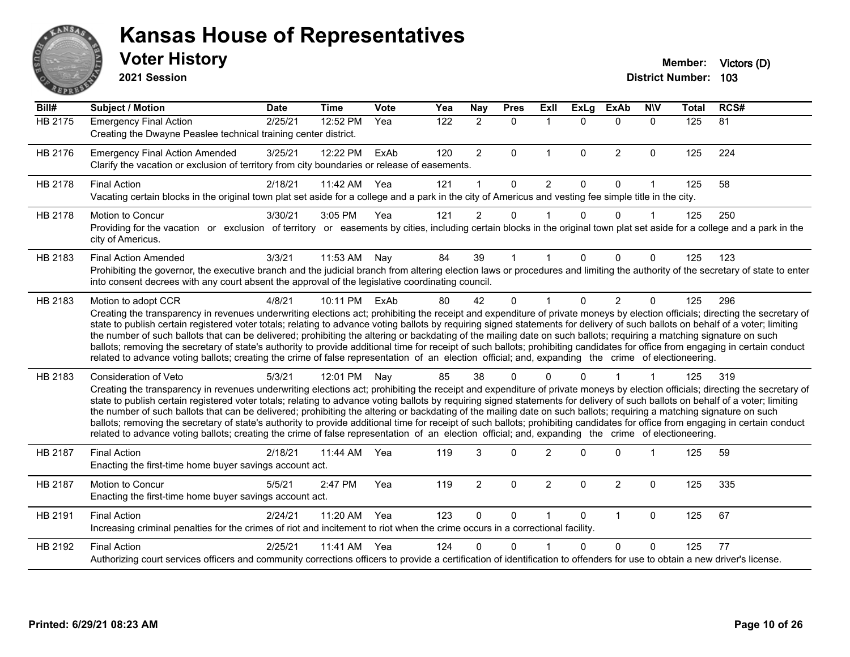

| Bill#   | <b>Subject / Motion</b>                                                                                                                                                                                                                                                                                                                                                                                                                                                                                                                                                                                                                                                                                                                                                                                                                                                                                    | Date    | Time       | Vote | Yea | Nay            | <b>Pres</b>  | ExII                 | <b>ExLg</b>  | <b>ExAb</b>    | <b>NIV</b>     | Total | RCS# |
|---------|------------------------------------------------------------------------------------------------------------------------------------------------------------------------------------------------------------------------------------------------------------------------------------------------------------------------------------------------------------------------------------------------------------------------------------------------------------------------------------------------------------------------------------------------------------------------------------------------------------------------------------------------------------------------------------------------------------------------------------------------------------------------------------------------------------------------------------------------------------------------------------------------------------|---------|------------|------|-----|----------------|--------------|----------------------|--------------|----------------|----------------|-------|------|
| HB 2175 | <b>Emergency Final Action</b><br>Creating the Dwayne Peaslee technical training center district.                                                                                                                                                                                                                                                                                                                                                                                                                                                                                                                                                                                                                                                                                                                                                                                                           | 2/25/21 | 12:52 PM   | Yea  | 122 | $\overline{2}$ | $\mathbf{0}$ | $\blacktriangleleft$ | $\Omega$     | $\Omega$       | $\Omega$       | 125   | 81   |
| HB 2176 | <b>Emergency Final Action Amended</b><br>Clarify the vacation or exclusion of territory from city boundaries or release of easements.                                                                                                                                                                                                                                                                                                                                                                                                                                                                                                                                                                                                                                                                                                                                                                      | 3/25/21 | 12:22 PM   | ExAb | 120 | $\overline{2}$ | $\mathbf{0}$ | 1                    | $\mathbf{0}$ | $\overline{2}$ | $\mathbf 0$    | 125   | 224  |
| HB 2178 | <b>Final Action</b><br>Vacating certain blocks in the original town plat set aside for a college and a park in the city of Americus and vesting fee simple title in the city.                                                                                                                                                                                                                                                                                                                                                                                                                                                                                                                                                                                                                                                                                                                              | 2/18/21 | 11:42 AM   | Yea  | 121 | 1              | $\mathbf 0$  | $\overline{2}$       | 0            | 0              |                | 125   | 58   |
| HB 2178 | <b>Motion to Concur</b><br>Providing for the vacation or exclusion of territory or easements by cities, including certain blocks in the original town plat set aside for a college and a park in the<br>city of Americus.                                                                                                                                                                                                                                                                                                                                                                                                                                                                                                                                                                                                                                                                                  | 3/30/21 | 3:05 PM    | Yea  | 121 | 2              | $\Omega$     |                      | O            | $\Omega$       |                | 125   | 250  |
| HB 2183 | <b>Final Action Amended</b><br>Prohibiting the governor, the executive branch and the judicial branch from altering election laws or procedures and limiting the authority of the secretary of state to enter<br>into consent decrees with any court absent the approval of the legislative coordinating council.                                                                                                                                                                                                                                                                                                                                                                                                                                                                                                                                                                                          | 3/3/21  | 11:53 AM   | Nay  | 84  | 39             | $\mathbf{1}$ |                      | $\Omega$     | $\Omega$       | $\Omega$       | 125   | 123  |
| HB 2183 | Motion to adopt CCR<br>Creating the transparency in revenues underwriting elections act; prohibiting the receipt and expenditure of private moneys by election officials; directing the secretary of<br>state to publish certain registered voter totals; relating to advance voting ballots by requiring signed statements for delivery of such ballots on behalf of a voter; limiting<br>the number of such ballots that can be delivered; prohibiting the altering or backdating of the mailing date on such ballots; requiring a matching signature on such<br>ballots; removing the secretary of state's authority to provide additional time for receipt of such ballots; prohibiting candidates for office from engaging in certain conduct<br>related to advance voting ballots; creating the crime of false representation of an election official; and, expanding the crime of electioneering.   | 4/8/21  | 10:11 PM   | ExAb | 80  | 42             | $\mathbf 0$  | $\mathbf{1}$         | $\Omega$     | $\overline{2}$ | $\Omega$       | 125   | 296  |
| HB 2183 | Consideration of Veto<br>Creating the transparency in revenues underwriting elections act; prohibiting the receipt and expenditure of private moneys by election officials; directing the secretary of<br>state to publish certain registered voter totals; relating to advance voting ballots by requiring signed statements for delivery of such ballots on behalf of a voter; limiting<br>the number of such ballots that can be delivered; prohibiting the altering or backdating of the mailing date on such ballots; requiring a matching signature on such<br>ballots; removing the secretary of state's authority to provide additional time for receipt of such ballots; prohibiting candidates for office from engaging in certain conduct<br>related to advance voting ballots; creating the crime of false representation of an election official; and, expanding the crime of electioneering. | 5/3/21  | 12:01 PM   | Nay  | 85  | 38             | $\Omega$     | 0                    | $\Omega$     |                | $\overline{1}$ | 125   | 319  |
| HB 2187 | <b>Final Action</b><br>Enacting the first-time home buyer savings account act.                                                                                                                                                                                                                                                                                                                                                                                                                                                                                                                                                                                                                                                                                                                                                                                                                             | 2/18/21 | 11:44 AM   | Yea  | 119 | 3              | $\Omega$     | $\mathcal{P}$        | $\Omega$     | $\Omega$       | -1             | 125   | 59   |
| HB 2187 | <b>Motion to Concur</b><br>Enacting the first-time home buyer savings account act.                                                                                                                                                                                                                                                                                                                                                                                                                                                                                                                                                                                                                                                                                                                                                                                                                         | 5/5/21  | 2:47 PM    | Yea  | 119 | $\overline{2}$ | $\mathbf 0$  | $\overline{2}$       | $\mathbf 0$  | $\overline{2}$ | $\Omega$       | 125   | 335  |
| HB 2191 | <b>Final Action</b><br>Increasing criminal penalties for the crimes of riot and incitement to riot when the crime occurs in a correctional facility.                                                                                                                                                                                                                                                                                                                                                                                                                                                                                                                                                                                                                                                                                                                                                       | 2/24/21 | 11:20 AM   | Yea  | 123 | $\Omega$       | $\mathbf{0}$ | $\mathbf 1$          | $\Omega$     | $\mathbf{1}$   | $\Omega$       | 125   | 67   |
| HB 2192 | <b>Final Action</b><br>Authorizing court services officers and community corrections officers to provide a certification of identification to offenders for use to obtain a new driver's license.                                                                                                                                                                                                                                                                                                                                                                                                                                                                                                                                                                                                                                                                                                          | 2/25/21 | $11:41$ AM | Yea  | 124 | $\Omega$       | $\Omega$     |                      | $\Omega$     | $\Omega$       | $\Omega$       | 125   | 77   |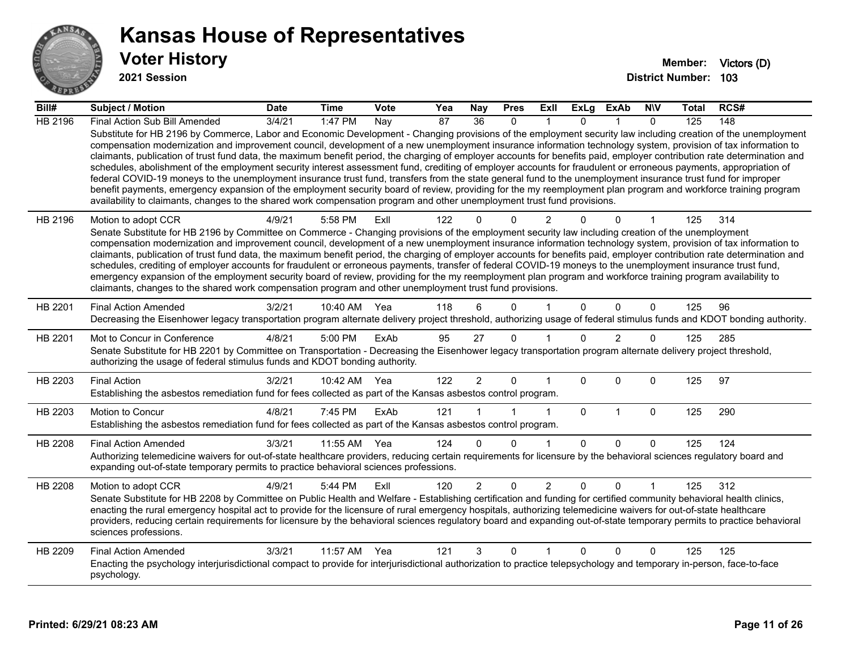

| Bill#          | <b>Subject / Motion</b>                                                                                                                                                                                                                                                                                                                                                                                                                                                                                                                                                                                                                                                                                                                                                                                                                                                                                                                                                                                                                                                                                                                                                            | <b>Date</b> | <b>Time</b> | Vote | Yea             | <b>Nay</b>           | <b>Pres</b>  | <b>Exll</b>    | <b>ExLg</b> | <b>ExAb</b>    | <b>NIV</b>   | Total | RCS# |
|----------------|------------------------------------------------------------------------------------------------------------------------------------------------------------------------------------------------------------------------------------------------------------------------------------------------------------------------------------------------------------------------------------------------------------------------------------------------------------------------------------------------------------------------------------------------------------------------------------------------------------------------------------------------------------------------------------------------------------------------------------------------------------------------------------------------------------------------------------------------------------------------------------------------------------------------------------------------------------------------------------------------------------------------------------------------------------------------------------------------------------------------------------------------------------------------------------|-------------|-------------|------|-----------------|----------------------|--------------|----------------|-------------|----------------|--------------|-------|------|
| <b>HB 2196</b> | Final Action Sub Bill Amended<br>Substitute for HB 2196 by Commerce, Labor and Economic Development - Changing provisions of the employment security law including creation of the unemployment<br>compensation modernization and improvement council, development of a new unemployment insurance information technology system, provision of tax information to<br>claimants, publication of trust fund data, the maximum benefit period, the charging of employer accounts for benefits paid, employer contribution rate determination and<br>schedules, abolishment of the employment security interest assessment fund, crediting of employer accounts for fraudulent or erroneous payments, appropriation of<br>federal COVID-19 moneys to the unemployment insurance trust fund, transfers from the state general fund to the unemployment insurance trust fund for improper<br>benefit payments, emergency expansion of the employment security board of review, providing for the my reemployment plan program and workforce training program<br>availability to claimants, changes to the shared work compensation program and other unemployment trust fund provisions. | 3/4/21      | 1:47 PM     | Nay  | $\overline{87}$ | 36                   | $\mathbf{0}$ |                | $\Omega$    |                | $\mathbf{0}$ | 125   | 148  |
| HB 2196        | Motion to adopt CCR<br>Senate Substitute for HB 2196 by Committee on Commerce - Changing provisions of the employment security law including creation of the unemployment<br>compensation modernization and improvement council, development of a new unemployment insurance information technology system, provision of tax information to<br>claimants, publication of trust fund data, the maximum benefit period, the charging of employer accounts for benefits paid, employer contribution rate determination and<br>schedules, crediting of employer accounts for fraudulent or erroneous payments, transfer of federal COVID-19 moneys to the unemployment insurance trust fund,<br>emergency expansion of the employment security board of review, providing for the my reemployment plan program and workforce training program availability to<br>claimants, changes to the shared work compensation program and other unemployment trust fund provisions.                                                                                                                                                                                                              | 4/9/21      | 5:58 PM     | Exll | 122             | $\Omega$             | $\Omega$     | $\overline{2}$ | $\Omega$    | 0              |              | 125   | 314  |
| HB 2201        | <b>Final Action Amended</b><br>Decreasing the Eisenhower legacy transportation program alternate delivery project threshold, authorizing usage of federal stimulus funds and KDOT bonding authority.                                                                                                                                                                                                                                                                                                                                                                                                                                                                                                                                                                                                                                                                                                                                                                                                                                                                                                                                                                               | 3/2/21      | 10:40 AM    | Yea  | 118             | 6                    | $\Omega$     |                | $\Omega$    | $\Omega$       | $\mathbf{0}$ | 125   | 96   |
| HB 2201        | Mot to Concur in Conference<br>Senate Substitute for HB 2201 by Committee on Transportation - Decreasing the Eisenhower legacy transportation program alternate delivery project threshold,<br>authorizing the usage of federal stimulus funds and KDOT bonding authority.                                                                                                                                                                                                                                                                                                                                                                                                                                                                                                                                                                                                                                                                                                                                                                                                                                                                                                         | 4/8/21      | 5:00 PM     | ExAb | 95              | 27                   | $\Omega$     |                | $\Omega$    | $\overline{2}$ | $\Omega$     | 125   | 285  |
| HB 2203        | <b>Final Action</b><br>Establishing the asbestos remediation fund for fees collected as part of the Kansas asbestos control program.                                                                                                                                                                                                                                                                                                                                                                                                                                                                                                                                                                                                                                                                                                                                                                                                                                                                                                                                                                                                                                               | 3/2/21      | 10:42 AM    | Yea  | 122             | $\overline{2}$       | $\Omega$     |                | $\Omega$    | $\Omega$       | 0            | 125   | 97   |
| HB 2203        | Motion to Concur<br>Establishing the asbestos remediation fund for fees collected as part of the Kansas asbestos control program.                                                                                                                                                                                                                                                                                                                                                                                                                                                                                                                                                                                                                                                                                                                                                                                                                                                                                                                                                                                                                                                  | 4/8/21      | 7:45 PM     | ExAb | 121             | $\blacktriangleleft$ |              |                | $\Omega$    | $\overline{1}$ | $\Omega$     | 125   | 290  |
| HB 2208        | <b>Final Action Amended</b><br>Authorizing telemedicine waivers for out-of-state healthcare providers, reducing certain requirements for licensure by the behavioral sciences regulatory board and<br>expanding out-of-state temporary permits to practice behavioral sciences professions.                                                                                                                                                                                                                                                                                                                                                                                                                                                                                                                                                                                                                                                                                                                                                                                                                                                                                        | 3/3/21      | 11:55 AM    | Yea  | 124             | $\Omega$             | $\mathbf{0}$ |                | $\Omega$    | $\mathbf{0}$   | $\Omega$     | 125   | 124  |
| HB 2208        | Motion to adopt CCR<br>Senate Substitute for HB 2208 by Committee on Public Health and Welfare - Establishing certification and funding for certified community behavioral health clinics,<br>enacting the rural emergency hospital act to provide for the licensure of rural emergency hospitals, authorizing telemedicine waivers for out-of-state healthcare<br>providers, reducing certain requirements for licensure by the behavioral sciences regulatory board and expanding out-of-state temporary permits to practice behavioral<br>sciences professions.                                                                                                                                                                                                                                                                                                                                                                                                                                                                                                                                                                                                                 | 4/9/21      | 5:44 PM     | ExIl | 120             | $\overline{2}$       | 0            | $\overline{2}$ | $\Omega$    | 0              |              | 125   | 312  |
| HB 2209        | <b>Final Action Amended</b><br>Enacting the psychology interjurisdictional compact to provide for interjurisdictional authorization to practice telepsychology and temporary in-person, face-to-face<br>psychology.                                                                                                                                                                                                                                                                                                                                                                                                                                                                                                                                                                                                                                                                                                                                                                                                                                                                                                                                                                | 3/3/21      | 11:57 AM    | Yea  | 121             | 3                    | 0            |                | $\Omega$    | $\Omega$       | $\Omega$     | 125   | 125  |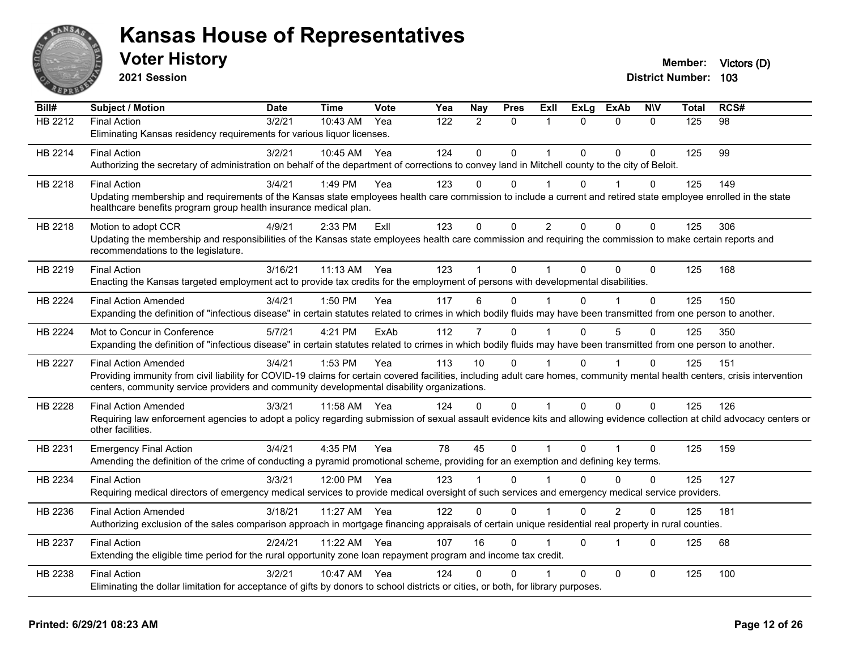

| Bill#          | Subject / Motion                                                                                                                                                             | <b>Date</b> | <b>Time</b> | Vote | Yea | Nay            | <b>Pres</b> | ExII           | <b>ExLa</b>  | <b>ExAb</b>    | <b>NIV</b>   | Total | RCS# |
|----------------|------------------------------------------------------------------------------------------------------------------------------------------------------------------------------|-------------|-------------|------|-----|----------------|-------------|----------------|--------------|----------------|--------------|-------|------|
| <b>HB 2212</b> | <b>Final Action</b>                                                                                                                                                          | 3/2/21      | 10:43 AM    | Yea  | 122 | $\overline{2}$ | $\mathbf 0$ | $\mathbf 1$    | $\Omega$     | $\Omega$       | $\mathbf 0$  | 125   | 98   |
|                | Eliminating Kansas residency requirements for various liquor licenses.                                                                                                       |             |             |      |     |                |             |                |              |                |              |       |      |
| HB 2214        | <b>Final Action</b>                                                                                                                                                          | 3/2/21      | 10:45 AM    | Yea  | 124 | 0              | $\Omega$    | $\overline{1}$ | $\Omega$     | $\Omega$       | $\mathbf{0}$ | 125   | 99   |
|                | Authorizing the secretary of administration on behalf of the department of corrections to convey land in Mitchell county to the city of Beloit.                              |             |             |      |     |                |             |                |              |                |              |       |      |
| HB 2218        | <b>Final Action</b>                                                                                                                                                          | 3/4/21      | 1:49 PM     | Yea  | 123 | $\Omega$       | $\Omega$    |                | $\Omega$     |                | $\Omega$     | 125   | 149  |
|                | Updating membership and requirements of the Kansas state employees health care commission to include a current and retired state employee enrolled in the state              |             |             |      |     |                |             |                |              |                |              |       |      |
|                | healthcare benefits program group health insurance medical plan.                                                                                                             |             |             |      |     |                |             |                |              |                |              |       |      |
| HB 2218        | Motion to adopt CCR                                                                                                                                                          | 4/9/21      | $2:33$ PM   | ExIl | 123 | $\Omega$       | $\Omega$    | $\overline{2}$ | $\Omega$     | $\Omega$       | $\mathbf{0}$ | 125   | 306  |
|                | Updating the membership and responsibilities of the Kansas state employees health care commission and requiring the commission to make certain reports and                   |             |             |      |     |                |             |                |              |                |              |       |      |
|                | recommendations to the legislature.                                                                                                                                          |             |             |      |     |                |             |                |              |                |              |       |      |
| HB 2219        | <b>Final Action</b>                                                                                                                                                          | 3/16/21     | $11:13$ AM  | Yea  | 123 | 1              | $\Omega$    |                | $\Omega$     | $\Omega$       | $\Omega$     | 125   | 168  |
|                | Enacting the Kansas targeted employment act to provide tax credits for the employment of persons with developmental disabilities.                                            |             |             |      |     |                |             |                |              |                |              |       |      |
| <b>HB 2224</b> | <b>Final Action Amended</b>                                                                                                                                                  | 3/4/21      | 1:50 PM     | Yea  | 117 | 6              | $\Omega$    |                | $\Omega$     | 1              | $\mathbf{0}$ | 125   | 150  |
|                | Expanding the definition of "infectious disease" in certain statutes related to crimes in which bodily fluids may have been transmitted from one person to another.          |             |             |      |     |                |             |                |              |                |              |       |      |
| <b>HB 2224</b> | Mot to Concur in Conference                                                                                                                                                  | 5/7/21      | 4:21 PM     | ExAb | 112 | $\overline{7}$ | $\Omega$    |                | 0            | 5              | $\mathbf 0$  | 125   | 350  |
|                | Expanding the definition of "infectious disease" in certain statutes related to crimes in which bodily fluids may have been transmitted from one person to another.          |             |             |      |     |                |             |                |              |                |              |       |      |
| <b>HB 2227</b> | <b>Final Action Amended</b>                                                                                                                                                  | 3/4/21      | 1:53 PM     | Yea  | 113 | 10             | $\Omega$    |                | $\Omega$     | 1              | $\Omega$     | 125   | 151  |
|                | Providing immunity from civil liability for COVID-19 claims for certain covered facilities, including adult care homes, community mental health centers, crisis intervention |             |             |      |     |                |             |                |              |                |              |       |      |
|                | centers, community service providers and community developmental disability organizations.                                                                                   |             |             |      |     |                |             |                |              |                |              |       |      |
| HB 2228        | <b>Final Action Amended</b>                                                                                                                                                  | 3/3/21      | 11:58 AM    | Yea  | 124 | $\Omega$       | $\Omega$    | $\mathbf{1}$   | $\Omega$     | $\Omega$       | $\mathbf 0$  | 125   | 126  |
|                | Requiring law enforcement agencies to adopt a policy regarding submission of sexual assault evidence kits and allowing evidence collection at child advocacy centers or      |             |             |      |     |                |             |                |              |                |              |       |      |
|                | other facilities.                                                                                                                                                            |             |             |      |     |                |             |                |              |                |              |       |      |
| HB 2231        | <b>Emergency Final Action</b>                                                                                                                                                | 3/4/21      | 4:35 PM     | Yea  | 78  | 45             | $\Omega$    |                | $\Omega$     |                | $\mathbf 0$  | 125   | 159  |
|                | Amending the definition of the crime of conducting a pyramid promotional scheme, providing for an exemption and defining key terms.                                          |             |             |      |     |                |             |                |              |                |              |       |      |
| HB 2234        | <b>Final Action</b>                                                                                                                                                          | 3/3/21      | 12:00 PM    | Yea  | 123 | 1              | $\Omega$    |                | $\Omega$     | $\Omega$       | $\Omega$     | 125   | 127  |
|                | Requiring medical directors of emergency medical services to provide medical oversight of such services and emergency medical service providers.                             |             |             |      |     |                |             |                |              |                |              |       |      |
| HB 2236        | <b>Final Action Amended</b>                                                                                                                                                  | 3/18/21     | 11:27 AM    | Yea  | 122 | $\Omega$       | $\Omega$    |                | $\Omega$     | $\overline{2}$ | $\Omega$     | 125   | 181  |
|                | Authorizing exclusion of the sales comparison approach in mortgage financing appraisals of certain unique residential real property in rural counties.                       |             |             |      |     |                |             |                |              |                |              |       |      |
|                |                                                                                                                                                                              |             |             |      |     |                |             |                |              |                |              |       |      |
|                |                                                                                                                                                                              | 2/24/21     |             | Yea  |     | 16             | $\Omega$    |                | $\Omega$     | 1              | $\mathbf{0}$ |       |      |
| HB 2237        | <b>Final Action</b><br>Extending the eligible time period for the rural opportunity zone loan repayment program and income tax credit.                                       |             | 11:22 AM    |      | 107 |                |             |                |              |                |              | 125   | 68   |
| HB 2238        | <b>Final Action</b>                                                                                                                                                          | 3/2/21      | 10:47 AM    | Yea  | 124 | 0              | $\Omega$    |                | $\mathbf{0}$ | 0              | $\mathbf 0$  | 125   | 100  |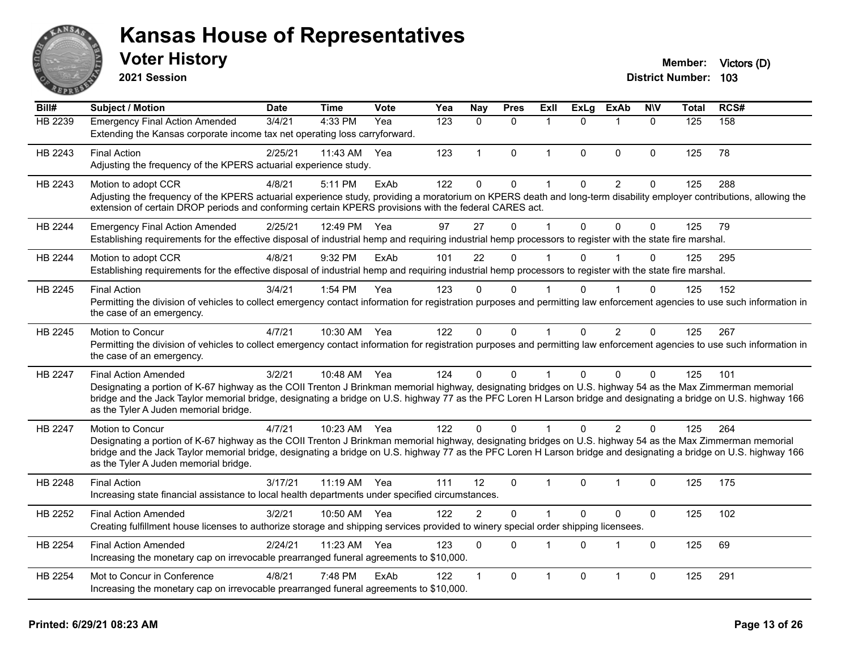

**2021 Session**

| Bill#          | <b>Subject / Motion</b>                                                                                                                                                                                                                                                                                                                                                                                  | <b>Date</b> | <b>Time</b> | <b>Vote</b> | Yea | Nav          | <b>Pres</b> | Exll           | <b>ExLg</b> | <b>ExAb</b>    | <b>NIV</b>   | Total | RCS# |
|----------------|----------------------------------------------------------------------------------------------------------------------------------------------------------------------------------------------------------------------------------------------------------------------------------------------------------------------------------------------------------------------------------------------------------|-------------|-------------|-------------|-----|--------------|-------------|----------------|-------------|----------------|--------------|-------|------|
| HB 2239        | <b>Emergency Final Action Amended</b><br>Extending the Kansas corporate income tax net operating loss carryforward.                                                                                                                                                                                                                                                                                      | 3/4/21      | 4:33 PM     | Yea         | 123 | $\Omega$     | $\Omega$    | $\overline{1}$ | $\Omega$    | $\mathbf 1$    | $\mathbf{0}$ | 125   | 158  |
| HB 2243        | <b>Final Action</b><br>Adjusting the frequency of the KPERS actuarial experience study.                                                                                                                                                                                                                                                                                                                  | 2/25/21     | 11:43 AM    | Yea         | 123 | $\mathbf{1}$ | 0           | $\overline{1}$ | 0           | $\mathbf{0}$   | $\mathbf 0$  | 125   | 78   |
| HB 2243        | Motion to adopt CCR<br>Adjusting the frequency of the KPERS actuarial experience study, providing a moratorium on KPERS death and long-term disability employer contributions, allowing the<br>extension of certain DROP periods and conforming certain KPERS provisions with the federal CARES act.                                                                                                     | 4/8/21      | 5:11 PM     | ExAb        | 122 | $\mathbf 0$  | $\pmb{0}$   | -1             | $\Omega$    | $\overline{2}$ | $\pmb{0}$    | 125   | 288  |
| HB 2244        | <b>Emergency Final Action Amended</b><br>Establishing requirements for the effective disposal of industrial hemp and requiring industrial hemp processors to register with the state fire marshal.                                                                                                                                                                                                       | 2/25/21     | 12:49 PM    | Yea         | 97  | 27           | $\mathsf 0$ |                | 0           | $\Omega$       | $\Omega$     | 125   | 79   |
| HB 2244        | Motion to adopt CCR<br>Establishing requirements for the effective disposal of industrial hemp and requiring industrial hemp processors to register with the state fire marshal.                                                                                                                                                                                                                         | 4/8/21      | 9:32 PM     | ExAb        | 101 | 22           | 0           |                | $\Omega$    |                | $\mathbf 0$  | 125   | 295  |
| HB 2245        | <b>Final Action</b><br>Permitting the division of vehicles to collect emergency contact information for registration purposes and permitting law enforcement agencies to use such information in<br>the case of an emergency.                                                                                                                                                                            | 3/4/21      | 1:54 PM     | Yea         | 123 | 0            | $\mathbf 0$ | $\overline{1}$ | 0           | $\overline{1}$ | $\mathbf 0$  | 125   | 152  |
| HB 2245        | Motion to Concur<br>Permitting the division of vehicles to collect emergency contact information for registration purposes and permitting law enforcement agencies to use such information in<br>the case of an emergency.                                                                                                                                                                               | 4/7/21      | 10:30 AM    | Yea         | 122 | $\mathbf{0}$ | 0           | $\mathbf 1$    | $\Omega$    | 2              | $\mathbf{0}$ | 125   | 267  |
| <b>HB 2247</b> | <b>Final Action Amended</b><br>Designating a portion of K-67 highway as the COII Trenton J Brinkman memorial highway, designating bridges on U.S. highway 54 as the Max Zimmerman memorial<br>bridge and the Jack Taylor memorial bridge, designating a bridge on U.S. highway 77 as the PFC Loren H Larson bridge and designating a bridge on U.S. highway 166<br>as the Tyler A Juden memorial bridge. | 3/2/21      | 10:48 AM    | Yea         | 124 | $\Omega$     | $\Omega$    |                | 0           | $\Omega$       | $\Omega$     | 125   | 101  |
| <b>HB 2247</b> | Motion to Concur<br>Designating a portion of K-67 highway as the COII Trenton J Brinkman memorial highway, designating bridges on U.S. highway 54 as the Max Zimmerman memorial<br>bridge and the Jack Taylor memorial bridge, designating a bridge on U.S. highway 77 as the PFC Loren H Larson bridge and designating a bridge on U.S. highway 166<br>as the Tyler A Juden memorial bridge.            | 4/7/21      | 10:23 AM    | Yea         | 122 | $\Omega$     | $\Omega$    |                | 0           | $\overline{2}$ | $\Omega$     | 125   | 264  |
| HB 2248        | <b>Final Action</b><br>Increasing state financial assistance to local health departments under specified circumstances.                                                                                                                                                                                                                                                                                  | 3/17/21     | 11:19 AM    | Yea         | 111 | 12           | $\Omega$    | $\mathbf{1}$   | 0           | 1              | $\mathbf{0}$ | 125   | 175  |
| HB 2252        | <b>Final Action Amended</b><br>Creating fulfillment house licenses to authorize storage and shipping services provided to winery special order shipping licensees.                                                                                                                                                                                                                                       | 3/2/21      | 10:50 AM    | Yea         | 122 | 2            | $\Omega$    | $\overline{ }$ | 0           | $\mathbf{0}$   | $\pmb{0}$    | 125   | 102  |
| HB 2254        | <b>Final Action Amended</b><br>Increasing the monetary cap on irrevocable prearranged funeral agreements to \$10,000.                                                                                                                                                                                                                                                                                    | 2/24/21     | 11:23 AM    | Yea         | 123 | $\mathbf{0}$ | $\Omega$    | $\overline{1}$ | 0           | $\mathbf{1}$   | $\mathbf{0}$ | 125   | 69   |
| <b>HB 2254</b> | Mot to Concur in Conference<br>Increasing the monetary cap on irrevocable prearranged funeral agreements to \$10,000.                                                                                                                                                                                                                                                                                    | 4/8/21      | 7:48 PM     | ExAb        | 122 | 1            | $\Omega$    | $\mathbf{1}$   | 0           | 1              | $\mathbf 0$  | 125   | 291  |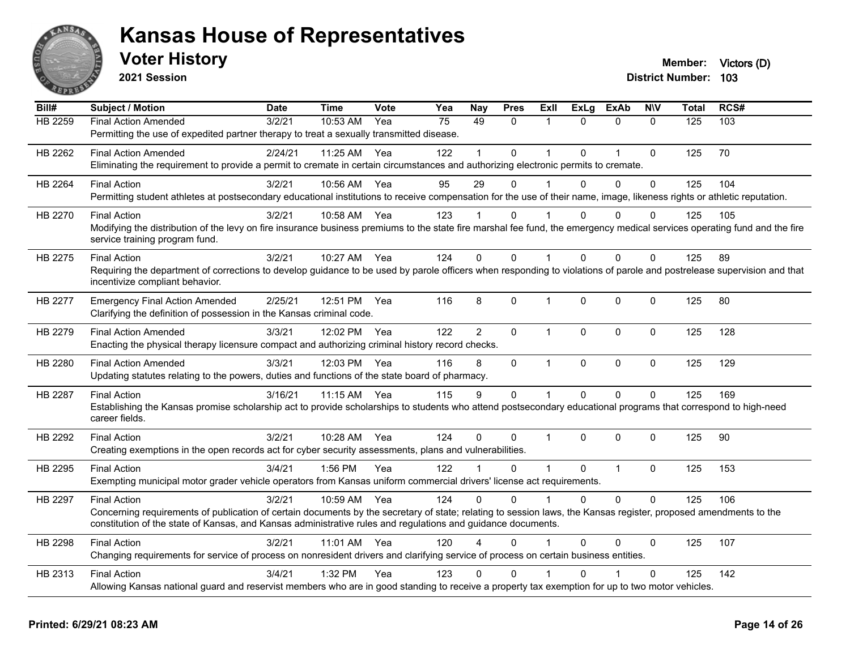

**2021 Session**

**Bill# Subject / Motion Date Time Vote Yea Nay Pres Exll ExLg ExAb N\V Total RCS#** HB 2259 Final Action Amended 3/2/21 10:53 AM Yea 75 49 0 1 0 0 0 125 103 Permitting the use of expedited partner therapy to treat a sexually transmitted disease. HB 2262 Final Action Amended 2/24/21 11:25 AM Yea 122 1 0 1 0 1 0 125 70 Eliminating the requirement to provide a permit to cremate in certain circumstances and authorizing electronic permits to cremate. HB 2264 Final Action 3/2/21 10:56 AM Yea 95 29 0 1 0 0 0 125 104 Permitting student athletes at postsecondary educational institutions to receive compensation for the use of their name, image, likeness rights or athletic reputation. HB 2270 Final Action 3/2/21 10:58 AM Yea 123 1 0 1 0 0 0 125 105 Modifying the distribution of the levy on fire insurance business premiums to the state fire marshal fee fund, the emergency medical services operating fund and the fire service training program fund. HB 2275 Final Action 3/2/21 10:27 AM Yea 124 0 0 1 0 0 0 125 89 Requiring the department of corrections to develop guidance to be used by parole officers when responding to violations of parole and postrelease supervision and that incentivize compliant behavior. HB 2277 Emergency Final Action Amended 2/25/21 12:51 PM Yea 116 8 0 1 0 0 0 125 80 Clarifying the definition of possession in the Kansas criminal code. HB 2279 Final Action Amended 3/3/21 12:02 PM Yea 122 2 0 1 0 0 0 125 128 Enacting the physical therapy licensure compact and authorizing criminal history record checks. HB 2280 Final Action Amended 3/3/21 12:03 PM Yea 116 8 0 1 0 0 0 125 129 Updating statutes relating to the powers, duties and functions of the state board of pharmacy. HB 2287 Final Action 3/16/21 11:15 AM Yea 115 9 0 1 0 0 0 125 169 Establishing the Kansas promise scholarship act to provide scholarships to students who attend postsecondary educational programs that correspond to high-need career fields. HB 2292 Final Action 3/2/21 10:28 AM Yea 124 0 0 1 0 0 0 125 90 Creating exemptions in the open records act for cyber security assessments, plans and vulnerabilities. HB 2295 Final Action 3/4/21 1:56 PM Yea 122 1 0 1 0 1 0 125 153 Exempting municipal motor grader vehicle operators from Kansas uniform commercial drivers' license act requirements. HB 2297 Final Action 3/2/21 10:59 AM Yea 124 0 0 1 0 0 0 125 106 Concerning requirements of publication of certain documents by the secretary of state; relating to session laws, the Kansas register, proposed amendments to the constitution of the state of Kansas, and Kansas administrative rules and regulations and guidance documents. HB 2298 Final Action 3/2/21 11:01 AM Yea 120 4 0 1 0 0 0 125 107 Changing requirements for service of process on nonresident drivers and clarifying service of process on certain business entities. HB 2313 Final Action 3/4/21 1:32 PM Yea 123 0 0 1 0 1 0 125 142 Allowing Kansas national guard and reservist members who are in good standing to receive a property tax exemption for up to two motor vehicles.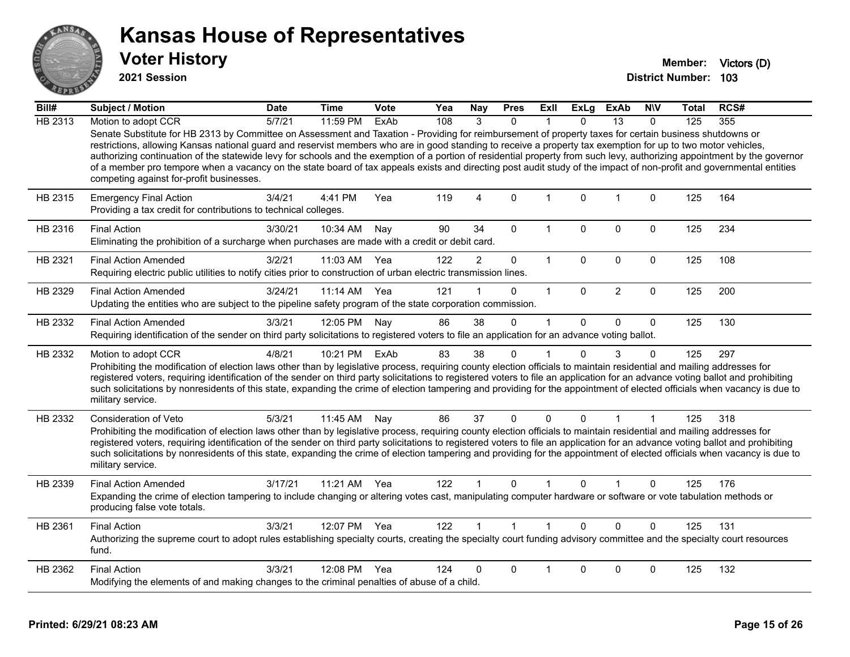

**2021 Session**

| Bill#   | Subject / Motion                                                                                                                                                                                                                                                                                                                                                                                                                                                                                                                                                                                                                                                                                                          | <b>Date</b> | <b>Time</b>  | <b>Vote</b> | Yea | Nay            | <b>Pres</b>         | ExII         | <b>ExLg</b> | ExAb           | <b>NIV</b>   | Total | RCS# |
|---------|---------------------------------------------------------------------------------------------------------------------------------------------------------------------------------------------------------------------------------------------------------------------------------------------------------------------------------------------------------------------------------------------------------------------------------------------------------------------------------------------------------------------------------------------------------------------------------------------------------------------------------------------------------------------------------------------------------------------------|-------------|--------------|-------------|-----|----------------|---------------------|--------------|-------------|----------------|--------------|-------|------|
| HB 2313 | Motion to adopt CCR                                                                                                                                                                                                                                                                                                                                                                                                                                                                                                                                                                                                                                                                                                       | 5/7/21      | 11:59 PM     | ExAb        | 108 | $\mathcal{R}$  | $\Omega$            |              | $\Omega$    | 13             | $\Omega$     | 125   | 355  |
|         | Senate Substitute for HB 2313 by Committee on Assessment and Taxation - Providing for reimbursement of property taxes for certain business shutdowns or<br>restrictions, allowing Kansas national guard and reservist members who are in good standing to receive a property tax exemption for up to two motor vehicles,<br>authorizing continuation of the statewide levy for schools and the exemption of a portion of residential property from such levy, authorizing appointment by the governor<br>of a member pro tempore when a vacancy on the state board of tax appeals exists and directing post audit study of the impact of non-profit and governmental entities<br>competing against for-profit businesses. |             |              |             |     |                |                     |              |             |                |              |       |      |
| HB 2315 | <b>Emergency Final Action</b><br>Providing a tax credit for contributions to technical colleges.                                                                                                                                                                                                                                                                                                                                                                                                                                                                                                                                                                                                                          | 3/4/21      | 4:41 PM      | Yea         | 119 | 4              | $\mathbf{0}$        | $\mathbf 1$  | $\Omega$    | $\overline{1}$ | $\mathbf{0}$ | 125   | 164  |
| HB 2316 | <b>Final Action</b><br>Eliminating the prohibition of a surcharge when purchases are made with a credit or debit card.                                                                                                                                                                                                                                                                                                                                                                                                                                                                                                                                                                                                    | 3/30/21     | 10:34 AM     | Nay         | 90  | 34             | $\mathbf 0$         | $\mathbf{1}$ | $\Omega$    | $\mathbf 0$    | 0            | 125   | 234  |
| HB 2321 | <b>Final Action Amended</b><br>Requiring electric public utilities to notify cities prior to construction of urban electric transmission lines.                                                                                                                                                                                                                                                                                                                                                                                                                                                                                                                                                                           | 3/2/21      | 11:03 AM     | Yea         | 122 | $\overline{2}$ | $\mathsf{O}\xspace$ | $\mathbf{1}$ | $\pmb{0}$   | $\pmb{0}$      | $\pmb{0}$    | 125   | 108  |
| HB 2329 | <b>Final Action Amended</b><br>Updating the entities who are subject to the pipeline safety program of the state corporation commission.                                                                                                                                                                                                                                                                                                                                                                                                                                                                                                                                                                                  | 3/24/21     | $11:14$ AM   | Yea         | 121 | 1              | $\mathbf{0}$        | $\mathbf{1}$ | $\Omega$    | $\overline{2}$ | $\mathbf 0$  | 125   | 200  |
| HB 2332 | <b>Final Action Amended</b><br>Requiring identification of the sender on third party solicitations to registered voters to file an application for an advance voting ballot.                                                                                                                                                                                                                                                                                                                                                                                                                                                                                                                                              | 3/3/21      | 12:05 PM     | Nay         | 86  | 38             | $\mathbf 0$         | 1            | $\Omega$    | 0              | $\mathbf{0}$ | 125   | 130  |
| HB 2332 | Motion to adopt CCR<br>Prohibiting the modification of election laws other than by legislative process, requiring county election officials to maintain residential and mailing addresses for<br>registered voters, requiring identification of the sender on third party solicitations to registered voters to file an application for an advance voting ballot and prohibiting<br>such solicitations by nonresidents of this state, expanding the crime of election tampering and providing for the appointment of elected officials when vacancy is due to<br>military service.                                                                                                                                        | 4/8/21      | 10:21 PM     | ExAb        | 83  | 38             | $\mathbf{0}$        | 1            | $\Omega$    | 3              | $\Omega$     | 125   | 297  |
| HB 2332 | <b>Consideration of Veto</b><br>Prohibiting the modification of election laws other than by legislative process, requiring county election officials to maintain residential and mailing addresses for<br>registered voters, requiring identification of the sender on third party solicitations to registered voters to file an application for an advance voting ballot and prohibiting<br>such solicitations by nonresidents of this state, expanding the crime of election tampering and providing for the appointment of elected officials when vacancy is due to<br>military service.                                                                                                                               | 5/3/21      | 11:45 AM     | Nay         | 86  | 37             | $\mathbf 0$         | 0            | 0           | 1              |              | 125   | 318  |
| HB 2339 | <b>Final Action Amended</b><br>Expanding the crime of election tampering to include changing or altering votes cast, manipulating computer hardware or software or vote tabulation methods or<br>producing false vote totals.                                                                                                                                                                                                                                                                                                                                                                                                                                                                                             | 3/17/21     | 11:21 AM     | Yea         | 122 |                | $\Omega$            |              | 0           |                | $\Omega$     | 125   | 176  |
| HB 2361 | <b>Final Action</b><br>Authorizing the supreme court to adopt rules establishing specialty courts, creating the specialty court funding advisory committee and the specialty court resources<br>fund.                                                                                                                                                                                                                                                                                                                                                                                                                                                                                                                     | 3/3/21      | 12:07 PM Yea |             | 122 | $\mathbf{1}$   | $\overline{1}$      | $\mathbf{1}$ | $\Omega$    | $\Omega$       | $\Omega$     | 125   | 131  |
| HB 2362 | <b>Final Action</b><br>Modifying the elements of and making changes to the criminal penalties of abuse of a child.                                                                                                                                                                                                                                                                                                                                                                                                                                                                                                                                                                                                        | 3/3/21      | 12:08 PM     | Yea         | 124 | $\Omega$       | $\Omega$            |              | $\Omega$    | $\Omega$       | 0            | 125   | 132  |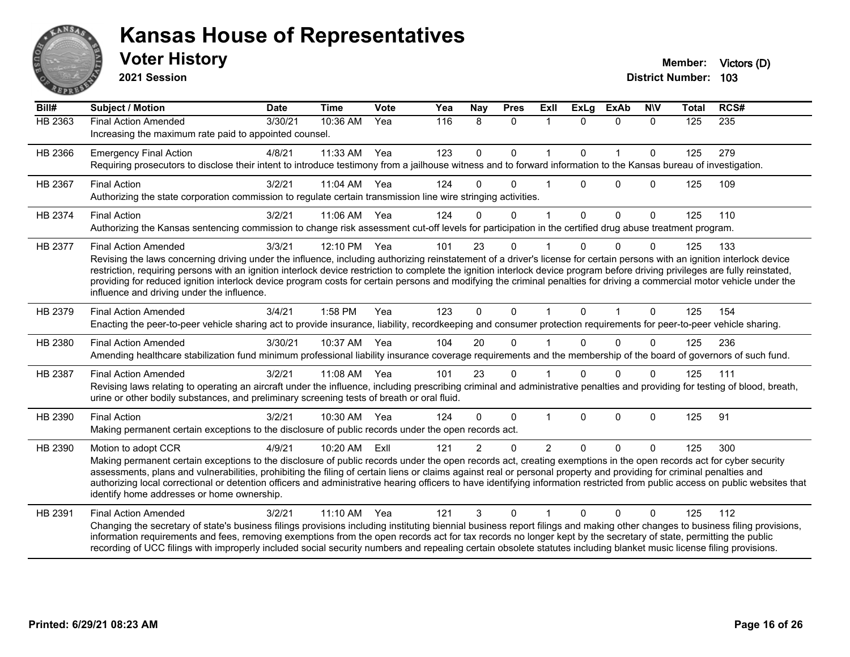

**2021 Session**

| Bill#          | Subject / Motion                                                                                                                                                                                                                                                                                                                                                                                                                                                                                                                                                                                                    | <b>Date</b> | <b>Time</b> | Vote | Yea | Nay           | <b>Pres</b>  | <b>ExII</b>   | <b>ExLg</b> | <b>ExAb</b>  | <b>NIV</b> | Total | RCS#             |
|----------------|---------------------------------------------------------------------------------------------------------------------------------------------------------------------------------------------------------------------------------------------------------------------------------------------------------------------------------------------------------------------------------------------------------------------------------------------------------------------------------------------------------------------------------------------------------------------------------------------------------------------|-------------|-------------|------|-----|---------------|--------------|---------------|-------------|--------------|------------|-------|------------------|
| <b>HB 2363</b> | <b>Final Action Amended</b><br>Increasing the maximum rate paid to appointed counsel.                                                                                                                                                                                                                                                                                                                                                                                                                                                                                                                               | 3/30/21     | 10:36 AM    | Yea  | 116 | 8             | $\mathbf{0}$ | 1             | $\Omega$    | $\Omega$     | $\Omega$   | 125   | $\overline{235}$ |
| HB 2366        | <b>Emergency Final Action</b><br>Requiring prosecutors to disclose their intent to introduce testimony from a jailhouse witness and to forward information to the Kansas bureau of investigation.                                                                                                                                                                                                                                                                                                                                                                                                                   | 4/8/21      | 11:33 AM    | Yea  | 123 | $\Omega$      | $\Omega$     |               | $\Omega$    | 1            | $\Omega$   | 125   | 279              |
| HB 2367        | <b>Final Action</b><br>Authorizing the state corporation commission to regulate certain transmission line wire stringing activities.                                                                                                                                                                                                                                                                                                                                                                                                                                                                                | 3/2/21      | 11:04 AM    | Yea  | 124 | $\Omega$      | $\mathbf{0}$ |               | $\Omega$    | $\mathbf{0}$ | $\Omega$   | 125   | 109              |
| HB 2374        | <b>Final Action</b><br>Authorizing the Kansas sentencing commission to change risk assessment cut-off levels for participation in the certified drug abuse treatment program.                                                                                                                                                                                                                                                                                                                                                                                                                                       | 3/2/21      | 11:06 AM    | Yea  | 124 | $\Omega$      | $\Omega$     |               | $\Omega$    | $\Omega$     | $\Omega$   | 125   | 110              |
| HB 2377        | <b>Final Action Amended</b><br>Revising the laws concerning driving under the influence, including authorizing reinstatement of a driver's license for certain persons with an ignition interlock device<br>restriction, requiring persons with an ignition interlock device restriction to complete the ignition interlock device program before driving privileges are fully reinstated,<br>providing for reduced ignition interlock device program costs for certain persons and modifying the criminal penalties for driving a commercial motor vehicle under the<br>influence and driving under the influence. | 3/3/21      | 12:10 PM    | Yea  | 101 | 23            | $\mathbf{0}$ |               | $\Omega$    | $\Omega$     | $\Omega$   | 125   | 133              |
| HB 2379        | <b>Final Action Amended</b><br>Enacting the peer-to-peer vehicle sharing act to provide insurance, liability, recordkeeping and consumer protection requirements for peer-to-peer vehicle sharing.                                                                                                                                                                                                                                                                                                                                                                                                                  | 3/4/21      | 1:58 PM     | Yea  | 123 | $\Omega$      | $\Omega$     |               | $\Omega$    |              | $\Omega$   | 125   | 154              |
| HB 2380        | <b>Final Action Amended</b><br>Amending healthcare stabilization fund minimum professional liability insurance coverage requirements and the membership of the board of governors of such fund.                                                                                                                                                                                                                                                                                                                                                                                                                     | 3/30/21     | 10:37 AM    | Yea  | 104 | 20            | $\mathbf{0}$ |               | $\Omega$    | $\Omega$     | 0          | 125   | 236              |
| HB 2387        | <b>Final Action Amended</b><br>Revising laws relating to operating an aircraft under the influence, including prescribing criminal and administrative penalties and providing for testing of blood, breath,<br>urine or other bodily substances, and preliminary screening tests of breath or oral fluid.                                                                                                                                                                                                                                                                                                           | 3/2/21      | 11:08 AM    | Yea  | 101 | 23            | $\Omega$     |               | $\Omega$    | $\Omega$     |            | 125   | 111              |
| HB 2390        | <b>Final Action</b><br>Making permanent certain exceptions to the disclosure of public records under the open records act.                                                                                                                                                                                                                                                                                                                                                                                                                                                                                          | 3/2/21      | 10:30 AM    | Yea  | 124 | $\Omega$      | $\mathbf{0}$ |               | $\Omega$    | $\Omega$     | $\Omega$   | 125   | 91               |
| HB 2390        | Motion to adopt CCR<br>Making permanent certain exceptions to the disclosure of public records under the open records act, creating exemptions in the open records act for cyber security<br>assessments, plans and vulnerabilities, prohibiting the filing of certain liens or claims against real or personal property and providing for criminal penalties and<br>authorizing local correctional or detention officers and administrative hearing officers to have identifying information restricted from public access on public websites that<br>identify home addresses or home ownership.                   | 4/9/21      | 10:20 AM    | ExII | 121 | $\mathcal{P}$ | $\Omega$     | $\mathcal{P}$ | $\Omega$    | $\Omega$     | 0          | 125   | 300              |
| HB 2391        | <b>Final Action Amended</b><br>Changing the secretary of state's business filings provisions including instituting biennial business report filings and making other changes to business filing provisions,<br>information requirements and fees, removing exemptions from the open records act for tax records no longer kept by the secretary of state, permitting the public<br>recording of UCC filings with improperly included social security numbers and repealing certain obsolete statutes including blanket music license filing provisions.                                                             | 3/2/21      | 11:10 AM    | Yea  | 121 | 3             | $\mathbf{0}$ |               | $\Omega$    | $\mathbf{0}$ | $\Omega$   | 125   | 112              |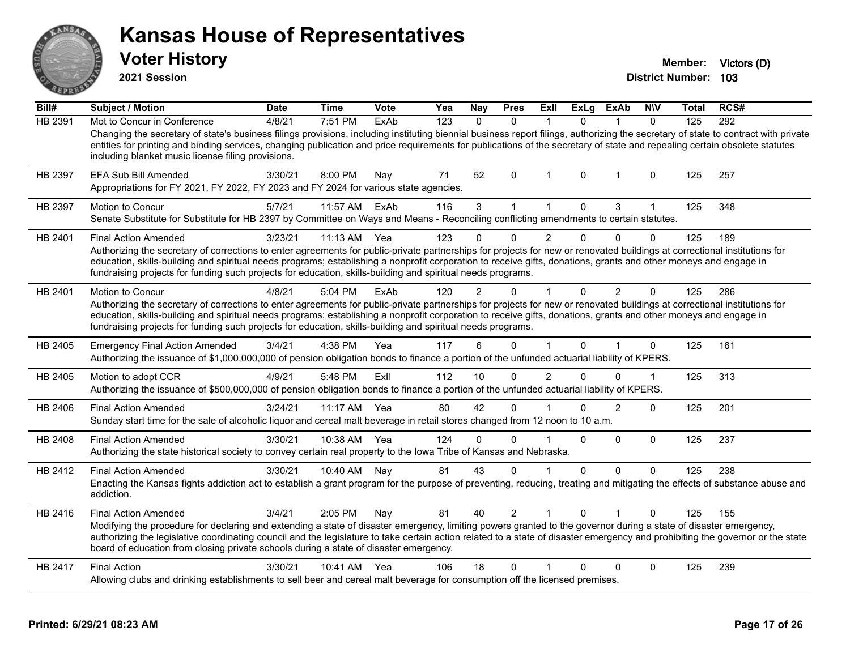|         | <b>Voter History</b><br>2021 Session                                                                                                                                                                                                                                                                                                                                                                                                                                                        |             |             |      |     |              |              |      |              |                |              | Member:<br><b>District Number:</b> | Victors (D)<br>103 |
|---------|---------------------------------------------------------------------------------------------------------------------------------------------------------------------------------------------------------------------------------------------------------------------------------------------------------------------------------------------------------------------------------------------------------------------------------------------------------------------------------------------|-------------|-------------|------|-----|--------------|--------------|------|--------------|----------------|--------------|------------------------------------|--------------------|
| Bill#   | <b>Subject / Motion</b>                                                                                                                                                                                                                                                                                                                                                                                                                                                                     | <b>Date</b> | <b>Time</b> | Vote | Yea | <b>Nay</b>   | <b>Pres</b>  | Exll | <b>ExLg</b>  | <b>ExAb</b>    | <b>NIV</b>   | Total                              | RCS#               |
| HB 2391 | Mot to Concur in Conference<br>Changing the secretary of state's business filings provisions, including instituting biennial business report filings, authorizing the secretary of state to contract with private<br>entities for printing and binding services, changing publication and price requirements for publications of the secretary of state and repealing certain obsolete statutes<br>including blanket music license filing provisions.                                       | 4/8/21      | 7:51 PM     | ExAb | 123 | $\mathbf{0}$ | 0            | 1    | $\mathbf{0}$ |                | $\mathbf{0}$ | 125                                | 292                |
| HB 2397 | <b>EFA Sub Bill Amended</b><br>Appropriations for FY 2021, FY 2022, FY 2023 and FY 2024 for various state agencies.                                                                                                                                                                                                                                                                                                                                                                         | 3/30/21     | 8:00 PM     | Nay  | 71  | 52           | $\mathbf{0}$ |      | $\Omega$     |                | 0            | 125                                | 257                |
| HB 2397 | <b>Motion to Concur</b><br>Senate Substitute for Substitute for HB 2397 by Committee on Ways and Means - Reconciling conflicting amendments to certain statutes.                                                                                                                                                                                                                                                                                                                            | 5/7/21      | 11:57 AM    | ExAb | 116 | 3            | $\mathbf 1$  | 1    | $\Omega$     | 3              | 1            | 125                                | 348                |
| HB 2401 | <b>Final Action Amended</b><br>Authorizing the secretary of corrections to enter agreements for public-private partnerships for projects for new or renovated buildings at correctional institutions for<br>education, skills-building and spiritual needs programs; establishing a nonprofit corporation to receive gifts, donations, grants and other moneys and engage in<br>fundraising projects for funding such projects for education, skills-building and spiritual needs programs. | 3/23/21     | $11:13$ AM  | Yea  | 123 |              | 0            | 2    | 0            |                | $\Omega$     | 125                                | 189                |
| HB 2401 | <b>Motion to Concur</b><br>Authorizing the secretary of corrections to enter agreements for public-private partnerships for projects for new or renovated buildings at correctional institutions for<br>education, skills-building and spiritual needs programs; establishing a nonprofit corporation to receive gifts, donations, grants and other moneys and engage in<br>fundraising projects for funding such projects for education, skills-building and spiritual needs programs.     | 4/8/21      | $5:04$ PM   | ExAb | 120 | 2            | O            |      | $\mathbf{0}$ | $\overline{2}$ | $\Omega$     | 125                                | 286                |
| HB 2405 | <b>Emergency Final Action Amended</b><br>Authorizing the issuance of \$1,000,000,000 of pension obligation bonds to finance a portion of the unfunded actuarial liability of KPERS.                                                                                                                                                                                                                                                                                                         | 3/4/21      | 4:38 PM     | Yea  | 117 | 6            | $\Omega$     |      | 0            |                | 0            | 125                                | 161                |
| HB 2405 | Motion to adopt CCR<br>Authorizing the issuance of \$500,000,000 of pension obligation bonds to finance a portion of the unfunded actuarial liability of KPERS.                                                                                                                                                                                                                                                                                                                             | 4/9/21      | 5:48 PM     | ExII | 112 | 10           | 0            | 2    | 0            | $\Omega$       | 1            | 125                                | 313                |
| HB 2406 | <b>Final Action Amended</b><br>Sunday start time for the sale of alcoholic liquor and cereal malt beverage in retail stores changed from 12 noon to 10 a.m.                                                                                                                                                                                                                                                                                                                                 | 3/24/21     | 11:17 AM    | Yea  | 80  | 42           | $\Omega$     |      | $\Omega$     | 2              | 0            | 125                                | 201                |
| HB 2408 | <b>Final Action Amended</b><br>Authorizing the state historical society to convey certain real property to the lowa Tribe of Kansas and Nebraska.                                                                                                                                                                                                                                                                                                                                           | 3/30/21     | 10:38 AM    | Yea  | 124 | $\Omega$     | $\Omega$     |      | $\Omega$     | $\Omega$       | $\Omega$     | 125                                | 237                |
| HB 2412 | <b>Final Action Amended</b><br>Enacting the Kansas fights addiction act to establish a grant program for the purpose of preventing, reducing, treating and mitigating the effects of substance abuse and<br>addiction.                                                                                                                                                                                                                                                                      | 3/30/21     | 10:40 AM    | Nay  | 81  | 43           | 0            |      | 0            | $\Omega$       | $\Omega$     | 125                                | 238                |
|         | <b>Final Action Amended</b>                                                                                                                                                                                                                                                                                                                                                                                                                                                                 | 3/4/21      | 2:05 PM     | Nay  | 81  | 40           | 2            |      | 0            |                | 0            | 125                                | 155                |
| HB 2416 | Modifying the procedure for declaring and extending a state of disaster emergency, limiting powers granted to the governor during a state of disaster emergency,<br>authorizing the legislative coordinating council and the legislature to take certain action related to a state of disaster emergency and prohibiting the governor or the state<br>board of education from closing private schools during a state of disaster emergency.                                                 |             |             |      |     |              |              |      |              |                |              |                                    |                    |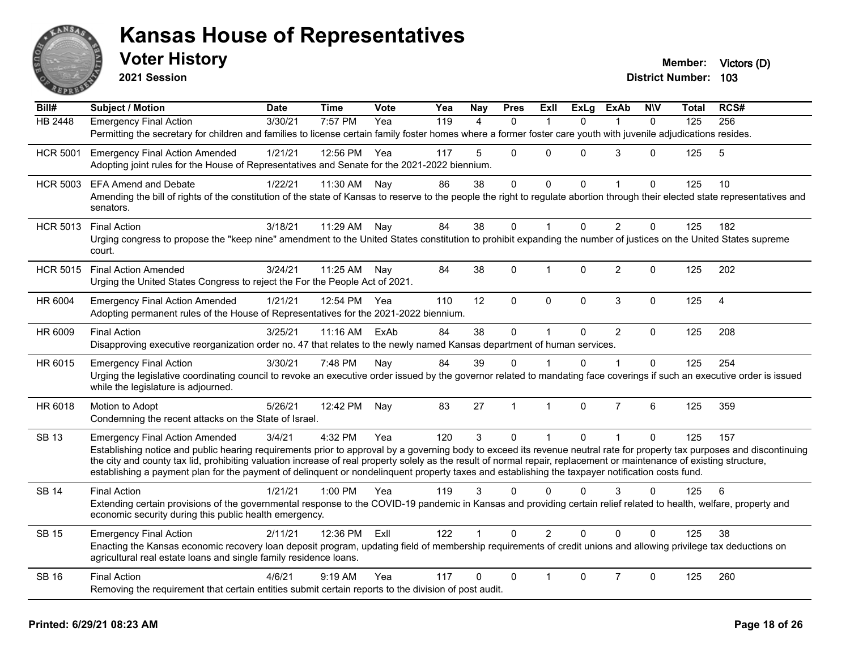

| $\overline{Bill#}$ | <b>Subject / Motion</b>                                                                                                                                                                                                                                                                                                   | <b>Date</b> | <b>Time</b> | Vote | Yea | Nay            | <b>Pres</b>  | ExIl           | <b>ExLg</b>  | <b>ExAb</b>    | <b>NIV</b>   | Total | RCS#           |
|--------------------|---------------------------------------------------------------------------------------------------------------------------------------------------------------------------------------------------------------------------------------------------------------------------------------------------------------------------|-------------|-------------|------|-----|----------------|--------------|----------------|--------------|----------------|--------------|-------|----------------|
| <b>HB 2448</b>     | <b>Emergency Final Action</b>                                                                                                                                                                                                                                                                                             | 3/30/21     | $7:57$ PM   | Yea  | 119 | $\overline{4}$ | $\mathbf{0}$ | $\mathbf 1$    | $\Omega$     | $\mathbf 1$    | $\Omega$     | 125   | 256            |
|                    | Permitting the secretary for children and families to license certain family foster homes where a former foster care youth with juvenile adjudications resides.                                                                                                                                                           |             |             |      |     |                |              |                |              |                |              |       |                |
| <b>HCR 5001</b>    | <b>Emergency Final Action Amended</b>                                                                                                                                                                                                                                                                                     | 1/21/21     | 12:56 PM    | Yea  | 117 | 5              | $\mathbf 0$  | $\Omega$       | 0            | 3              | $\Omega$     | 125   | 5              |
|                    | Adopting joint rules for the House of Representatives and Senate for the 2021-2022 biennium.                                                                                                                                                                                                                              |             |             |      |     |                |              |                |              |                |              |       |                |
| <b>HCR 5003</b>    | <b>EFA Amend and Debate</b>                                                                                                                                                                                                                                                                                               | 1/22/21     | 11:30 AM    | Nay  | 86  | 38             | $\mathbf 0$  | $\mathbf 0$    | $\mathbf{0}$ | $\mathbf{1}$   | $\mathbf{0}$ | 125   | 10             |
|                    | Amending the bill of rights of the constitution of the state of Kansas to reserve to the people the right to regulate abortion through their elected state representatives and<br>senators.                                                                                                                               |             |             |      |     |                |              |                |              |                |              |       |                |
| <b>HCR 5013</b>    | <b>Final Action</b>                                                                                                                                                                                                                                                                                                       | 3/18/21     | 11:29 AM    | Nay  | 84  | 38             | $\Omega$     | -1             | $\Omega$     | 2              | $\Omega$     | 125   | 182            |
|                    | Urging congress to propose the "keep nine" amendment to the United States constitution to prohibit expanding the number of justices on the United States supreme<br>court.                                                                                                                                                |             |             |      |     |                |              |                |              |                |              |       |                |
| <b>HCR 5015</b>    | <b>Final Action Amended</b>                                                                                                                                                                                                                                                                                               | 3/24/21     | 11:25 AM    | Nav  | 84  | 38             | $\pmb{0}$    | $\mathbf 1$    | $\Omega$     | $\overline{2}$ | $\Omega$     | 125   | 202            |
|                    | Urging the United States Congress to reject the For the People Act of 2021.                                                                                                                                                                                                                                               |             |             |      |     |                |              |                |              |                |              |       |                |
| HR 6004            | <b>Emergency Final Action Amended</b>                                                                                                                                                                                                                                                                                     | 1/21/21     | 12:54 PM    | Yea  | 110 | 12             | $\mathbf 0$  | $\Omega$       | 0            | 3              | $\mathbf 0$  | 125   | $\overline{4}$ |
|                    | Adopting permanent rules of the House of Representatives for the 2021-2022 biennium.                                                                                                                                                                                                                                      |             |             |      |     |                |              |                |              |                |              |       |                |
| HR 6009            | <b>Final Action</b>                                                                                                                                                                                                                                                                                                       | 3/25/21     | 11:16 AM    | ExAb | 84  | 38             | $\mathbf 0$  | $\mathbf{1}$   | $\Omega$     | $\overline{2}$ | $\mathbf{0}$ | 125   | 208            |
|                    | Disapproving executive reorganization order no. 47 that relates to the newly named Kansas department of human services.                                                                                                                                                                                                   |             |             |      |     |                |              |                |              |                |              |       |                |
| HR 6015            | <b>Emergency Final Action</b>                                                                                                                                                                                                                                                                                             | 3/30/21     | 7:48 PM     | Nay  | 84  | 39             | $\Omega$     |                | 0            | 1              | $\Omega$     | 125   | 254            |
|                    | Urging the legislative coordinating council to revoke an executive order issued by the governor related to mandating face coverings if such an executive order is issued<br>while the legislature is adjourned.                                                                                                           |             |             |      |     |                |              |                |              |                |              |       |                |
| HR 6018            | Motion to Adopt                                                                                                                                                                                                                                                                                                           | 5/26/21     | 12:42 PM    | Nay  | 83  | 27             | $\mathbf{1}$ | $\mathbf{1}$   | $\Omega$     | $\overline{7}$ | 6            | 125   | 359            |
|                    | Condemning the recent attacks on the State of Israel.                                                                                                                                                                                                                                                                     |             |             |      |     |                |              |                |              |                |              |       |                |
| <b>SB 13</b>       | <b>Emergency Final Action Amended</b>                                                                                                                                                                                                                                                                                     | 3/4/21      | 4:32 PM     | Yea  | 120 | 3              | $\mathbf{0}$ | $\mathbf{1}$   | $\Omega$     | $\mathbf{1}$   | $\mathbf{0}$ | 125   | 157            |
|                    | Establishing notice and public hearing requirements prior to approval by a governing body to exceed its revenue neutral rate for property tax purposes and discontinuing                                                                                                                                                  |             |             |      |     |                |              |                |              |                |              |       |                |
|                    | the city and county tax lid, prohibiting valuation increase of real property solely as the result of normal repair, replacement or maintenance of existing structure,<br>establishing a payment plan for the payment of delinquent or nondelinquent property taxes and establishing the taxpayer notification costs fund. |             |             |      |     |                |              |                |              |                |              |       |                |
| <b>SB 14</b>       | <b>Final Action</b>                                                                                                                                                                                                                                                                                                       | 1/21/21     | 1:00 PM     | Yea  | 119 | 3              | $\Omega$     | $\Omega$       | $\Omega$     | 3              | $\Omega$     | 125   | 6              |
|                    | Extending certain provisions of the governmental response to the COVID-19 pandemic in Kansas and providing certain relief related to health, welfare, property and                                                                                                                                                        |             |             |      |     |                |              |                |              |                |              |       |                |
|                    | economic security during this public health emergency.                                                                                                                                                                                                                                                                    |             |             |      |     |                |              |                |              |                |              |       |                |
| <b>SB 15</b>       | <b>Emergency Final Action</b>                                                                                                                                                                                                                                                                                             | 2/11/21     | 12:36 PM    | ExII | 122 | $\mathbf 1$    | $\mathbf{0}$ | $\overline{2}$ | $\Omega$     | $\Omega$       | $\Omega$     | 125   | 38             |
|                    | Enacting the Kansas economic recovery loan deposit program, updating field of membership requirements of credit unions and allowing privilege tax deductions on<br>agricultural real estate loans and single family residence loans.                                                                                      |             |             |      |     |                |              |                |              |                |              |       |                |
| <b>SB 16</b>       | <b>Final Action</b>                                                                                                                                                                                                                                                                                                       | 4/6/21      | $9:19$ AM   | Yea  | 117 | 0              | $\mathbf{0}$ | $\mathbf{1}$   | $\Omega$     | $\overline{7}$ | 0            | 125   | 260            |
|                    | Removing the requirement that certain entities submit certain reports to the division of post audit.                                                                                                                                                                                                                      |             |             |      |     |                |              |                |              |                |              |       |                |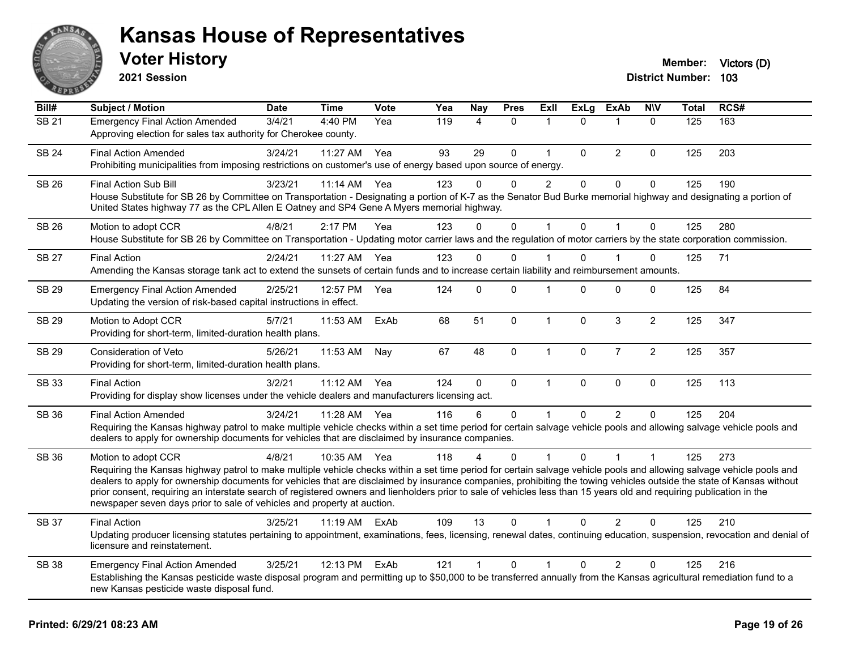

**2021 Session**

| Bill#        | <b>Subject / Motion</b>                                                                                                                                                                                                                                                                                                                                                                                                                                                                                                                                                                                                  | <b>Date</b> | <b>Time</b> | Vote | Yea | <b>Nay</b>   | <b>Pres</b>  | ExII           | <b>ExLg</b> | <b>ExAb</b>    | <b>NIV</b>     | Total            | RCS# |
|--------------|--------------------------------------------------------------------------------------------------------------------------------------------------------------------------------------------------------------------------------------------------------------------------------------------------------------------------------------------------------------------------------------------------------------------------------------------------------------------------------------------------------------------------------------------------------------------------------------------------------------------------|-------------|-------------|------|-----|--------------|--------------|----------------|-------------|----------------|----------------|------------------|------|
| <b>SB 21</b> | <b>Emergency Final Action Amended</b><br>Approving election for sales tax authority for Cherokee county.                                                                                                                                                                                                                                                                                                                                                                                                                                                                                                                 | 3/4/21      | 4:40 PM     | Yea  | 119 | 4            | $\mathbf{0}$ | 1              | $\Omega$    | $\mathbf{1}$   | $\mathbf{0}$   | $\overline{125}$ | 163  |
| <b>SB 24</b> | <b>Final Action Amended</b><br>Prohibiting municipalities from imposing restrictions on customer's use of energy based upon source of energy.                                                                                                                                                                                                                                                                                                                                                                                                                                                                            | 3/24/21     | 11:27 AM    | Yea  | 93  | 29           | $\pmb{0}$    | $\mathbf{1}$   | $\mathbf 0$ | $\overline{2}$ | $\mathbf 0$    | 125              | 203  |
| <b>SB 26</b> | Final Action Sub Bill<br>House Substitute for SB 26 by Committee on Transportation - Designating a portion of K-7 as the Senator Bud Burke memorial highway and designating a portion of<br>United States highway 77 as the CPL Allen E Oatney and SP4 Gene A Myers memorial highway.                                                                                                                                                                                                                                                                                                                                    | 3/23/21     | $11:14$ AM  | Yea  | 123 | $\Omega$     | $\Omega$     | $\overline{2}$ | $\Omega$    | $\Omega$       | $\Omega$       | 125              | 190  |
| <b>SB 26</b> | Motion to adopt CCR<br>House Substitute for SB 26 by Committee on Transportation - Updating motor carrier laws and the regulation of motor carriers by the state corporation commission.                                                                                                                                                                                                                                                                                                                                                                                                                                 | 4/8/21      | 2:17 PM     | Yea  | 123 | 0            | $\mathbf{0}$ | $\mathbf 1$    | $\Omega$    | $\mathbf{1}$   | $\Omega$       | 125              | 280  |
| <b>SB 27</b> | <b>Final Action</b><br>Amending the Kansas storage tank act to extend the sunsets of certain funds and to increase certain liability and reimbursement amounts.                                                                                                                                                                                                                                                                                                                                                                                                                                                          | 2/24/21     | 11:27 AM    | Yea  | 123 | 0            | 0            |                | 0           |                | $\Omega$       | 125              | 71   |
| <b>SB 29</b> | <b>Emergency Final Action Amended</b><br>Updating the version of risk-based capital instructions in effect.                                                                                                                                                                                                                                                                                                                                                                                                                                                                                                              | 2/25/21     | 12:57 PM    | Yea  | 124 | 0            | $\mathbf{0}$ | -1             | $\Omega$    | $\mathbf{0}$   | $\Omega$       | 125              | 84   |
| <b>SB 29</b> | Motion to Adopt CCR<br>Providing for short-term, limited-duration health plans.                                                                                                                                                                                                                                                                                                                                                                                                                                                                                                                                          | 5/7/21      | 11:53 AM    | ExAb | 68  | 51           | $\mathbf 0$  | $\overline{1}$ | 0           | 3              | $\overline{2}$ | 125              | 347  |
| SB 29        | Consideration of Veto<br>Providing for short-term, limited-duration health plans.                                                                                                                                                                                                                                                                                                                                                                                                                                                                                                                                        | 5/26/21     | 11:53 AM    | Nay  | 67  | 48           | 0            | 1              | 0           | $\overline{7}$ | $\overline{2}$ | 125              | 357  |
| SB 33        | <b>Final Action</b><br>Providing for display show licenses under the vehicle dealers and manufacturers licensing act.                                                                                                                                                                                                                                                                                                                                                                                                                                                                                                    | 3/2/21      | 11:12 AM    | Yea  | 124 | 0            | $\mathbf 0$  | $\mathbf{1}$   | $\Omega$    | $\mathbf 0$    | $\mathbf{0}$   | 125              | 113  |
| SB 36        | <b>Final Action Amended</b><br>Requiring the Kansas highway patrol to make multiple vehicle checks within a set time period for certain salvage vehicle pools and allowing salvage vehicle pools and<br>dealers to apply for ownership documents for vehicles that are disclaimed by insurance companies.                                                                                                                                                                                                                                                                                                                | 3/24/21     | 11:28 AM    | Yea  | 116 | 6            | $\mathbf 0$  |                | $\Omega$    | $\overline{2}$ | $\Omega$       | 125              | 204  |
| SB 36        | Motion to adopt CCR<br>Requiring the Kansas highway patrol to make multiple vehicle checks within a set time period for certain salvage vehicle pools and allowing salvage vehicle pools and<br>dealers to apply for ownership documents for vehicles that are disclaimed by insurance companies, prohibiting the towing vehicles outside the state of Kansas without<br>prior consent, requiring an interstate search of registered owners and lienholders prior to sale of vehicles less than 15 years old and requiring publication in the<br>newspaper seven days prior to sale of vehicles and property at auction. | 4/8/21      | 10:35 AM    | Yea  | 118 | 4            | $\Omega$     | $\overline{1}$ | $\Omega$    | $\mathbf{1}$   | $\overline{1}$ | 125              | 273  |
| <b>SB 37</b> | <b>Final Action</b><br>Updating producer licensing statutes pertaining to appointment, examinations, fees, licensing, renewal dates, continuing education, suspension, revocation and denial of<br>licensure and reinstatement.                                                                                                                                                                                                                                                                                                                                                                                          | 3/25/21     | 11:19 AM    | ExAb | 109 | 13           | $\mathbf{0}$ |                | $\Omega$    | 2              | $\Omega$       | 125              | 210  |
| <b>SB 38</b> | <b>Emergency Final Action Amended</b><br>Establishing the Kansas pesticide waste disposal program and permitting up to \$50,000 to be transferred annually from the Kansas agricultural remediation fund to a<br>new Kansas pesticide waste disposal fund.                                                                                                                                                                                                                                                                                                                                                               | 3/25/21     | 12:13 PM    | ExAb | 121 | $\mathbf{1}$ | $\mathbf{0}$ | $\mathbf{1}$   | $\Omega$    | $\overline{2}$ | $\mathbf{0}$   | 125              | 216  |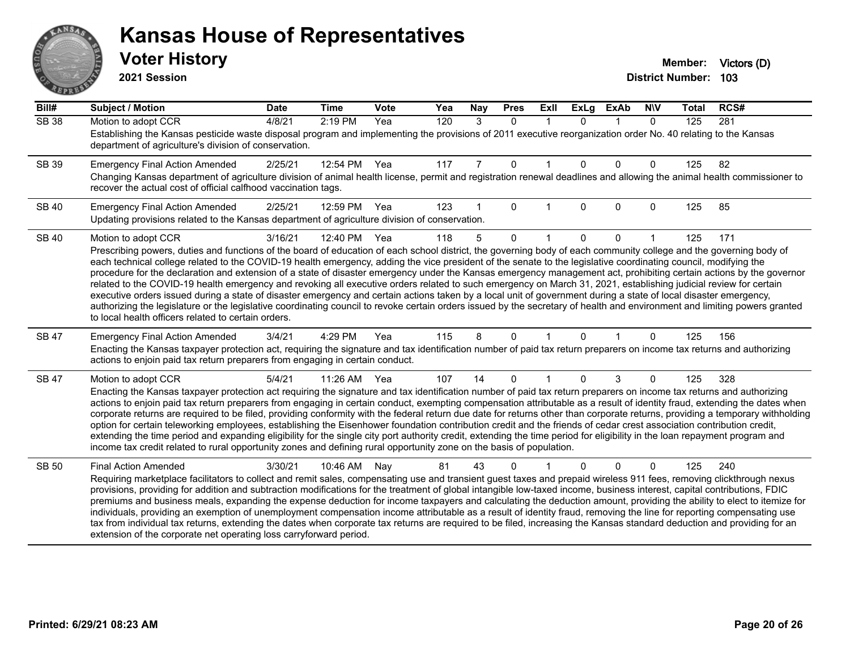# ANS Ĕ

#### **Kansas House of Representatives**

| Bill#        | Subject / Motion                                                                                                                                                                                                                                                                                                                                                                                                                                                                                                                                                                                                                                                                                                                                                                                                                                                                                                                                                                                                                                                                                                 | <b>Date</b> | <b>Time</b>  | Vote | Yea | <b>Nay</b> | <b>Pres</b>  | Exll | <b>ExLg</b>  | <b>ExAb</b>  | <b>NIV</b>   | <b>Total</b> | RCS# |  |
|--------------|------------------------------------------------------------------------------------------------------------------------------------------------------------------------------------------------------------------------------------------------------------------------------------------------------------------------------------------------------------------------------------------------------------------------------------------------------------------------------------------------------------------------------------------------------------------------------------------------------------------------------------------------------------------------------------------------------------------------------------------------------------------------------------------------------------------------------------------------------------------------------------------------------------------------------------------------------------------------------------------------------------------------------------------------------------------------------------------------------------------|-------------|--------------|------|-----|------------|--------------|------|--------------|--------------|--------------|--------------|------|--|
| <b>SB 38</b> | Motion to adopt CCR<br>Establishing the Kansas pesticide waste disposal program and implementing the provisions of 2011 executive reorganization order No. 40 relating to the Kansas<br>department of agriculture's division of conservation.                                                                                                                                                                                                                                                                                                                                                                                                                                                                                                                                                                                                                                                                                                                                                                                                                                                                    | 4/8/21      | $2:19$ PM    | Yea  | 120 | 3          | $\mathbf{0}$ |      | $\mathbf{0}$ | -1           | $\mathbf{0}$ | 125          | 281  |  |
| SB 39        | <b>Emergency Final Action Amended</b><br>Changing Kansas department of agriculture division of animal health license, permit and registration renewal deadlines and allowing the animal health commissioner to<br>recover the actual cost of official calfhood vaccination tags.                                                                                                                                                                                                                                                                                                                                                                                                                                                                                                                                                                                                                                                                                                                                                                                                                                 | 2/25/21     | 12:54 PM Yea |      | 117 | 7          | $\Omega$     |      | $\Omega$     | $\Omega$     | $\mathbf{0}$ | 125          | 82   |  |
| <b>SB 40</b> | <b>Emergency Final Action Amended</b><br>Updating provisions related to the Kansas department of agriculture division of conservation.                                                                                                                                                                                                                                                                                                                                                                                                                                                                                                                                                                                                                                                                                                                                                                                                                                                                                                                                                                           | 2/25/21     | 12:59 PM Yea |      | 123 | 1          | $\mathbf 0$  |      | $\mathbf{0}$ | $\mathbf 0$  | $\mathbf{0}$ | 125          | 85   |  |
| <b>SB 40</b> | Motion to adopt CCR<br>Prescribing powers, duties and functions of the board of education of each school district, the governing body of each community college and the governing body of<br>each technical college related to the COVID-19 health emergency, adding the vice president of the senate to the legislative coordinating council, modifying the<br>procedure for the declaration and extension of a state of disaster emergency under the Kansas emergency management act, prohibiting certain actions by the governor<br>related to the COVID-19 health emergency and revoking all executive orders related to such emergency on March 31, 2021, establishing judicial review for certain<br>executive orders issued during a state of disaster emergency and certain actions taken by a local unit of government during a state of local disaster emergency,<br>authorizing the legislature or the legislative coordinating council to revoke certain orders issued by the secretary of health and environment and limiting powers granted<br>to local health officers related to certain orders. | 3/16/21     | 12:40 PM Yea |      | 118 | 5          | $\Omega$     |      | $\Omega$     | $\mathbf{0}$ |              | 125          | 171  |  |
| <b>SB 47</b> | <b>Emergency Final Action Amended</b><br>Enacting the Kansas taxpayer protection act, requiring the signature and tax identification number of paid tax return preparers on income tax returns and authorizing<br>actions to enjoin paid tax return preparers from engaging in certain conduct.                                                                                                                                                                                                                                                                                                                                                                                                                                                                                                                                                                                                                                                                                                                                                                                                                  | 3/4/21      | 4:29 PM      | Yea  | 115 | 8          | $\mathbf{0}$ |      | $\Omega$     | $\mathbf{1}$ | $\mathbf{0}$ | 125          | 156  |  |
| <b>SB 47</b> | Motion to adopt CCR<br>Enacting the Kansas taxpayer protection act requiring the signature and tax identification number of paid tax return preparers on income tax returns and authorizing<br>actions to enjoin paid tax return preparers from engaging in certain conduct, exempting compensation attributable as a result of identity fraud, extending the dates when<br>corporate returns are required to be filed, providing conformity with the federal return due date for returns other than corporate returns, providing a temporary withholding<br>option for certain teleworking employees, establishing the Eisenhower foundation contribution credit and the friends of cedar crest association contribution credit,<br>extending the time period and expanding eligibility for the single city port authority credit, extending the time period for eligibility in the loan repayment program and<br>income tax credit related to rural opportunity zones and defining rural opportunity zone on the basis of population.                                                                          | 5/4/21      | 11:26 AM Yea |      | 107 | 14         | $\Omega$     |      | $\Omega$     | 3            | $\mathbf{0}$ | 125          | 328  |  |
| <b>SB 50</b> | <b>Final Action Amended</b><br>Requiring marketplace facilitators to collect and remit sales, compensating use and transient guest taxes and prepaid wireless 911 fees, removing clickthrough nexus<br>provisions, providing for addition and subtraction modifications for the treatment of global intangible low-taxed income, business interest, capital contributions, FDIC<br>premiums and business meals, expanding the expense deduction for income taxpayers and calculating the deduction amount, providing the ability to elect to itemize for<br>individuals, providing an exemption of unemployment compensation income attributable as a result of identity fraud, removing the line for reporting compensating use<br>tax from individual tax returns, extending the dates when corporate tax returns are required to be filed, increasing the Kansas standard deduction and providing for an<br>extension of the corporate net operating loss carryforward period.                                                                                                                                | 3/30/21     | 10:46 AM     | Nav  | 81  | 43         | 0            |      | $\Omega$     | $\mathbf{0}$ | $\Omega$     | 125          | 240  |  |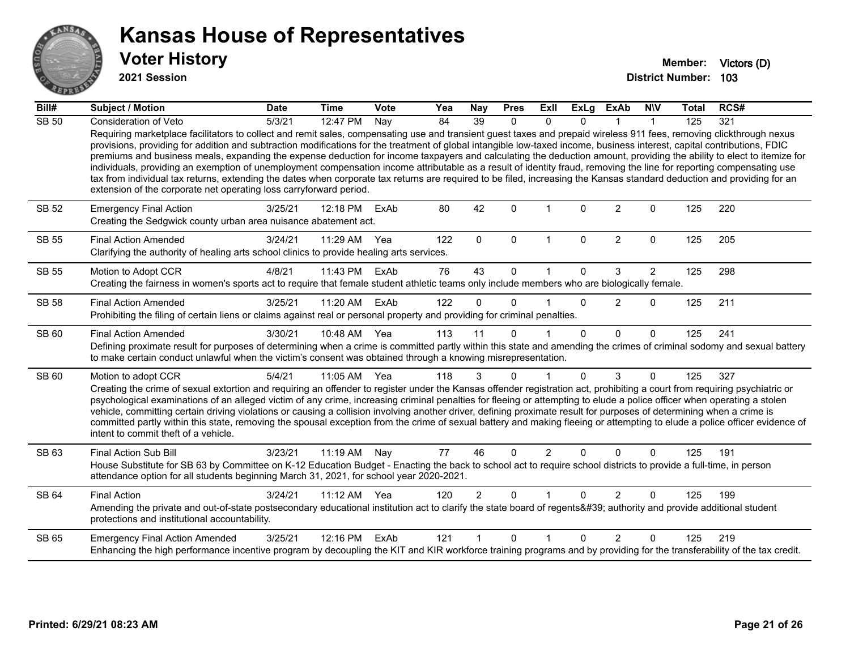

**2021 Session**

| Bill#        | Subject / Motion                                                                                                                                                                                                                                                                                                                                                                                                                                                                                                                                                                                                                                                                                                                                                                                                                                                                                                                                   | <b>Date</b> | <b>Time</b> | Vote | Yea | <b>Nay</b>     | <b>Pres</b>  | Exll                 | <b>ExLg</b>  | <b>ExAb</b>    | <b>NIV</b>     | <b>Total</b> | RCS# |
|--------------|----------------------------------------------------------------------------------------------------------------------------------------------------------------------------------------------------------------------------------------------------------------------------------------------------------------------------------------------------------------------------------------------------------------------------------------------------------------------------------------------------------------------------------------------------------------------------------------------------------------------------------------------------------------------------------------------------------------------------------------------------------------------------------------------------------------------------------------------------------------------------------------------------------------------------------------------------|-------------|-------------|------|-----|----------------|--------------|----------------------|--------------|----------------|----------------|--------------|------|
| <b>SB 50</b> | Consideration of Veto                                                                                                                                                                                                                                                                                                                                                                                                                                                                                                                                                                                                                                                                                                                                                                                                                                                                                                                              | 5/3/21      | 12:47 PM    | Nay  | 84  | 39             | $\Omega$     | 0                    | $\Omega$     |                |                | 125          | 321  |
|              | Requiring marketplace facilitators to collect and remit sales, compensating use and transient guest taxes and prepaid wireless 911 fees, removing clickthrough nexus<br>provisions, providing for addition and subtraction modifications for the treatment of global intangible low-taxed income, business interest, capital contributions, FDIC<br>premiums and business meals, expanding the expense deduction for income taxpayers and calculating the deduction amount, providing the ability to elect to itemize for<br>individuals, providing an exemption of unemployment compensation income attributable as a result of identity fraud, removing the line for reporting compensating use<br>tax from individual tax returns, extending the dates when corporate tax returns are required to be filed, increasing the Kansas standard deduction and providing for an<br>extension of the corporate net operating loss carryforward period. |             |             |      |     |                |              |                      |              |                |                |              |      |
| SB 52        | <b>Emergency Final Action</b><br>Creating the Sedgwick county urban area nuisance abatement act.                                                                                                                                                                                                                                                                                                                                                                                                                                                                                                                                                                                                                                                                                                                                                                                                                                                   | 3/25/21     | 12:18 PM    | ExAb | 80  | 42             | $\Omega$     |                      | $\Omega$     | $\overline{2}$ | $\mathbf{0}$   | 125          | 220  |
| <b>SB 55</b> | <b>Final Action Amended</b><br>Clarifying the authority of healing arts school clinics to provide healing arts services.                                                                                                                                                                                                                                                                                                                                                                                                                                                                                                                                                                                                                                                                                                                                                                                                                           | 3/24/21     | 11:29 AM    | Yea  | 122 | $\Omega$       | $\mathbf{0}$ | $\blacktriangleleft$ | $\mathbf{0}$ | $\overline{2}$ | $\mathbf{0}$   | 125          | 205  |
| <b>SB 55</b> | Motion to Adopt CCR                                                                                                                                                                                                                                                                                                                                                                                                                                                                                                                                                                                                                                                                                                                                                                                                                                                                                                                                | 4/8/21      | 11:43 PM    | ExAb | 76  | 43             | $\mathbf 0$  |                      | $\Omega$     | 3              | $\overline{2}$ | 125          | 298  |
|              | Creating the fairness in women's sports act to require that female student athletic teams only include members who are biologically female.                                                                                                                                                                                                                                                                                                                                                                                                                                                                                                                                                                                                                                                                                                                                                                                                        |             |             |      |     |                |              |                      |              |                |                |              |      |
| <b>SB 58</b> | <b>Final Action Amended</b><br>Prohibiting the filing of certain liens or claims against real or personal property and providing for criminal penalties.                                                                                                                                                                                                                                                                                                                                                                                                                                                                                                                                                                                                                                                                                                                                                                                           | 3/25/21     | 11:20 AM    | ExAb | 122 | $\Omega$       | $\Omega$     |                      | $\Omega$     | $\overline{2}$ | $\mathbf{0}$   | 125          | 211  |
|              |                                                                                                                                                                                                                                                                                                                                                                                                                                                                                                                                                                                                                                                                                                                                                                                                                                                                                                                                                    |             |             |      |     |                |              |                      |              |                |                |              |      |
| <b>SB 60</b> | <b>Final Action Amended</b><br>Defining proximate result for purposes of determining when a crime is committed partly within this state and amending the crimes of criminal sodomy and sexual battery<br>to make certain conduct unlawful when the victim's consent was obtained through a knowing misrepresentation.                                                                                                                                                                                                                                                                                                                                                                                                                                                                                                                                                                                                                              | 3/30/21     | 10:48 AM    | Yea  | 113 | 11             | $\Omega$     |                      | $\Omega$     | $\Omega$       | $\Omega$       | 125          | 241  |
| SB 60        | Motion to adopt CCR                                                                                                                                                                                                                                                                                                                                                                                                                                                                                                                                                                                                                                                                                                                                                                                                                                                                                                                                | 5/4/21      | 11:05 AM    | Yea  | 118 | 3              | $\mathbf{0}$ | $\mathbf 1$          | $\Omega$     | 3              | $\mathbf{0}$   | 125          | 327  |
|              | Creating the crime of sexual extortion and requiring an offender to register under the Kansas offender registration act, prohibiting a court from requiring psychiatric or<br>psychological examinations of an alleged victim of any crime, increasing criminal penalties for fleeing or attempting to elude a police officer when operating a stolen<br>vehicle, committing certain driving violations or causing a collision involving another driver, defining proximate result for purposes of determining when a crime is<br>committed partly within this state, removing the spousal exception from the crime of sexual battery and making fleeing or attempting to elude a police officer evidence of<br>intent to commit theft of a vehicle.                                                                                                                                                                                               |             |             |      |     |                |              |                      |              |                |                |              |      |
| SB 63        | <b>Final Action Sub Bill</b>                                                                                                                                                                                                                                                                                                                                                                                                                                                                                                                                                                                                                                                                                                                                                                                                                                                                                                                       | 3/23/21     | 11:19 AM    | Nay  | 77  | 46             | $\Omega$     | $\overline{2}$       | $\mathbf{0}$ | $\Omega$       | $\mathbf{0}$   | 125          | 191  |
|              | House Substitute for SB 63 by Committee on K-12 Education Budget - Enacting the back to school act to require school districts to provide a full-time, in person<br>attendance option for all students beginning March 31, 2021, for school year 2020-2021.                                                                                                                                                                                                                                                                                                                                                                                                                                                                                                                                                                                                                                                                                        |             |             |      |     |                |              |                      |              |                |                |              |      |
| <b>SB 64</b> | <b>Final Action</b>                                                                                                                                                                                                                                                                                                                                                                                                                                                                                                                                                                                                                                                                                                                                                                                                                                                                                                                                | 3/24/21     | 11:12 AM    | Yea  | 120 | $\overline{2}$ | $\mathbf{0}$ | 1                    | $\mathbf{0}$ | $\overline{2}$ | $\mathbf{0}$   | 125          | 199  |
|              | Amending the private and out-of-state postsecondary educational institution act to clarify the state board of regents' authority and provide additional student<br>protections and institutional accountability.                                                                                                                                                                                                                                                                                                                                                                                                                                                                                                                                                                                                                                                                                                                                   |             |             |      |     |                |              |                      |              |                |                |              |      |
| <b>SB 65</b> | <b>Emergency Final Action Amended</b>                                                                                                                                                                                                                                                                                                                                                                                                                                                                                                                                                                                                                                                                                                                                                                                                                                                                                                              | 3/25/21     | 12:16 PM    | ExAb | 121 | 1              | $\Omega$     | 1                    | $\Omega$     | $\mathcal{P}$  | $\Omega$       | 125          | 219  |
|              | Enhancing the high performance incentive program by decoupling the KIT and KIR workforce training programs and by providing for the transferability of the tax credit.                                                                                                                                                                                                                                                                                                                                                                                                                                                                                                                                                                                                                                                                                                                                                                             |             |             |      |     |                |              |                      |              |                |                |              |      |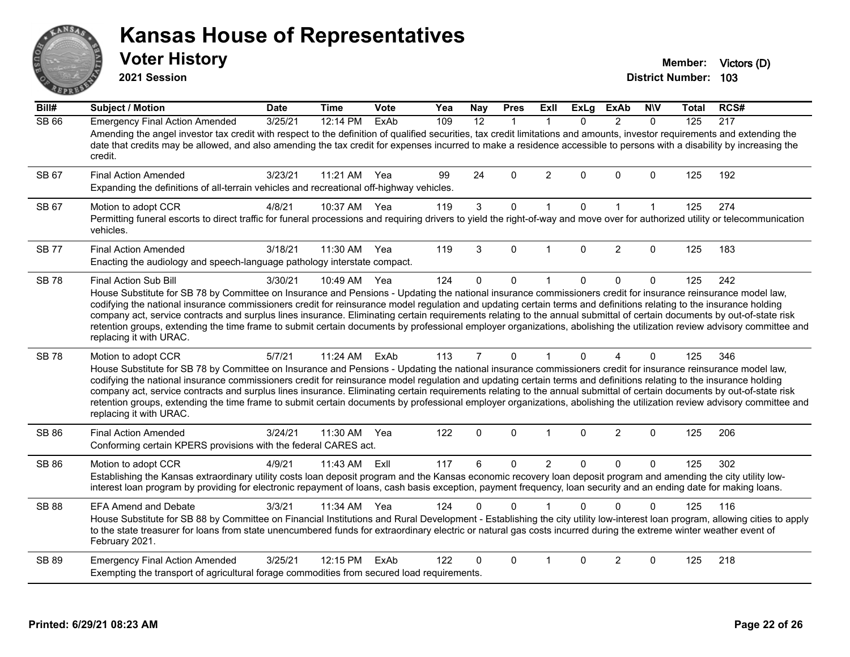# ANS **PIVE**

#### **Kansas House of Representatives**

**2021 Session**

**Voter History Member: Victors** (D)

| Bill#        | <b>Subject / Motion</b>                                                                                                                                                                                                                                                                                                                                                                                                                                                                                                                                                                                                                                                                                                                        | <b>Date</b> | <b>Time</b> | Vote | Yea | <b>Nay</b>     | <b>Pres</b> | <b>Exll</b>    | <b>ExLg</b>  | <b>ExAb</b>    | <b>NIV</b>   | Total | RCS# |
|--------------|------------------------------------------------------------------------------------------------------------------------------------------------------------------------------------------------------------------------------------------------------------------------------------------------------------------------------------------------------------------------------------------------------------------------------------------------------------------------------------------------------------------------------------------------------------------------------------------------------------------------------------------------------------------------------------------------------------------------------------------------|-------------|-------------|------|-----|----------------|-------------|----------------|--------------|----------------|--------------|-------|------|
| <b>SB 66</b> | <b>Emergency Final Action Amended</b><br>Amending the angel investor tax credit with respect to the definition of qualified securities, tax credit limitations and amounts, investor requirements and extending the<br>date that credits may be allowed, and also amending the tax credit for expenses incurred to make a residence accessible to persons with a disability by increasing the<br>credit.                                                                                                                                                                                                                                                                                                                                       | 3/25/21     | 12:14 PM    | ExAb | 109 | 12             | $\mathbf 1$ | 1              | 0            | 2              | $\mathbf 0$  | 125   | 217  |
| SB 67        | <b>Final Action Amended</b><br>Expanding the definitions of all-terrain vehicles and recreational off-highway vehicles.                                                                                                                                                                                                                                                                                                                                                                                                                                                                                                                                                                                                                        | 3/23/21     | 11:21 AM    | Yea  | 99  | 24             | $\Omega$    | 2              | $\Omega$     | $\Omega$       | $\mathbf 0$  | 125   | 192  |
| SB 67        | Motion to adopt CCR<br>Permitting funeral escorts to direct traffic for funeral processions and requiring drivers to yield the right-of-way and move over for authorized utility or telecommunication<br>vehicles.                                                                                                                                                                                                                                                                                                                                                                                                                                                                                                                             | 4/8/21      | 10:37 AM    | Yea  | 119 | 3              | $\mathbf 0$ | $\mathbf{1}$   | $\mathbf 0$  | $\mathbf{1}$   | $\mathbf{1}$ | 125   | 274  |
| <b>SB 77</b> | <b>Final Action Amended</b><br>Enacting the audiology and speech-language pathology interstate compact.                                                                                                                                                                                                                                                                                                                                                                                                                                                                                                                                                                                                                                        | 3/18/21     | 11:30 AM    | Yea  | 119 | 3              | $\Omega$    |                | $\Omega$     | $\overline{2}$ | $\Omega$     | 125   | 183  |
| <b>SB78</b>  | Final Action Sub Bill<br>House Substitute for SB 78 by Committee on Insurance and Pensions - Updating the national insurance commissioners credit for insurance reinsurance model law,<br>codifying the national insurance commissioners credit for reinsurance model regulation and updating certain terms and definitions relating to the insurance holding<br>company act, service contracts and surplus lines insurance. Eliminating certain requirements relating to the annual submittal of certain documents by out-of-state risk<br>retention groups, extending the time frame to submit certain documents by professional employer organizations, abolishing the utilization review advisory committee and<br>replacing it with URAC. | 3/30/21     | 10:49 AM    | Yea  | 124 | 0              | 0           | -1             | $\mathbf 0$  | $\mathbf 0$    | 0            | 125   | 242  |
| <b>SB78</b>  | Motion to adopt CCR<br>House Substitute for SB 78 by Committee on Insurance and Pensions - Updating the national insurance commissioners credit for insurance reinsurance model law,<br>codifying the national insurance commissioners credit for reinsurance model regulation and updating certain terms and definitions relating to the insurance holding<br>company act, service contracts and surplus lines insurance. Eliminating certain requirements relating to the annual submittal of certain documents by out-of-state risk<br>retention groups, extending the time frame to submit certain documents by professional employer organizations, abolishing the utilization review advisory committee and<br>replacing it with URAC.   | 5/7/21      | 11:24 AM    | ExAb | 113 | $\overline{7}$ | $\mathbf 0$ | 1              | 0            | 4              | $\mathbf 0$  | 125   | 346  |
| <b>SB 86</b> | <b>Final Action Amended</b><br>Conforming certain KPERS provisions with the federal CARES act.                                                                                                                                                                                                                                                                                                                                                                                                                                                                                                                                                                                                                                                 | 3/24/21     | 11:30 AM    | Yea  | 122 | $\mathbf 0$    | $\mathbf 0$ | $\mathbf{1}$   | $\mathbf 0$  | $\overline{2}$ | $\mathbf 0$  | 125   | 206  |
| SB 86        | Motion to adopt CCR<br>Establishing the Kansas extraordinary utility costs loan deposit program and the Kansas economic recovery loan deposit program and amending the city utility low-<br>interest loan program by providing for electronic repayment of loans, cash basis exception, payment frequency, loan security and an ending date for making loans.                                                                                                                                                                                                                                                                                                                                                                                  | 4/9/21      | 11:43 AM    | Exll | 117 | 6              | $\mathbf 0$ | $\overline{2}$ | $\mathbf{0}$ | $\mathbf{0}$   | $\mathbf{0}$ | 125   | 302  |
| <b>SB 88</b> | <b>EFA Amend and Debate</b><br>House Substitute for SB 88 by Committee on Financial Institutions and Rural Development - Establishing the city utility low-interest loan program, allowing cities to apply<br>to the state treasurer for loans from state unencumbered funds for extraordinary electric or natural gas costs incurred during the extreme winter weather event of<br>February 2021.                                                                                                                                                                                                                                                                                                                                             | 3/3/21      | 11:34 AM    | Yea  | 124 |                | 0           |                |              |                | ŋ            | 125   | 116  |
| SB 89        | <b>Emergency Final Action Amended</b><br>Exempting the transport of agricultural forage commodities from secured load requirements.                                                                                                                                                                                                                                                                                                                                                                                                                                                                                                                                                                                                            | 3/25/21     | 12:15 PM    | ExAb | 122 | 0              | 0           | 1              | 0            | 2              | 0            | 125   | 218  |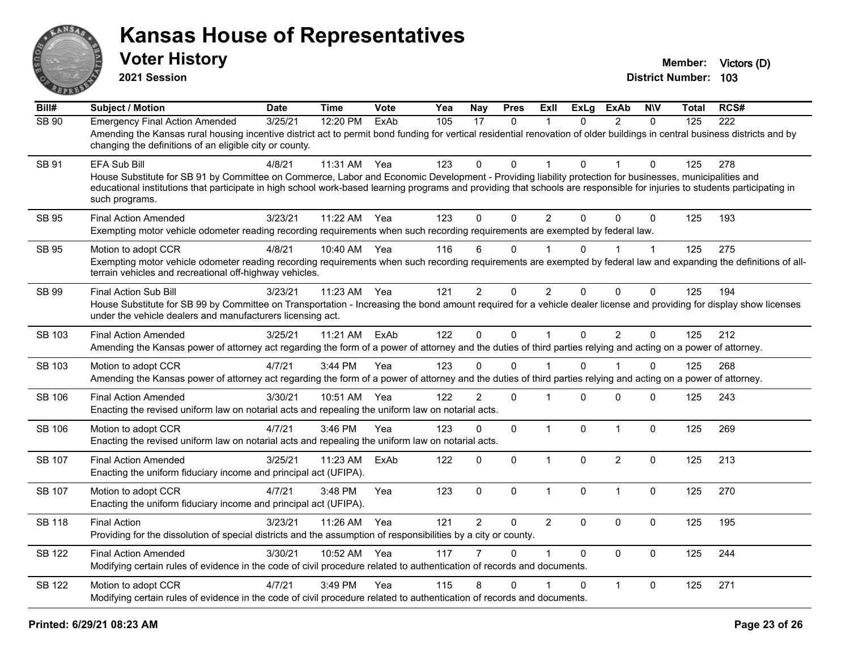

| $\overline{BiII#}$ | <b>Subject / Motion</b>                                                                                                                                                                                                                                                                                                                                                 | <b>Date</b> | <b>Time</b> | <b>Vote</b> | Yea | Nay            | <b>Pres</b>  | ExII                 | <b>ExLg</b> | <b>ExAb</b>    | <b>NIV</b>     | Total | RCS#             |
|--------------------|-------------------------------------------------------------------------------------------------------------------------------------------------------------------------------------------------------------------------------------------------------------------------------------------------------------------------------------------------------------------------|-------------|-------------|-------------|-----|----------------|--------------|----------------------|-------------|----------------|----------------|-------|------------------|
| <b>SB 90</b>       | <b>Emergency Final Action Amended</b><br>Amending the Kansas rural housing incentive district act to permit bond funding for vertical residential renovation of older buildings in central business districts and by<br>changing the definitions of an eligible city or county.                                                                                         | 3/25/21     | 12:20 PM    | ExAb        | 105 | 17             | $\mathbf{0}$ | $\mathbf 1$          | $\Omega$    | 2              | $\Omega$       | 125   | $\overline{222}$ |
| <b>SB 91</b>       | EFA Sub Bill<br>House Substitute for SB 91 by Committee on Commerce, Labor and Economic Development - Providing liability protection for businesses, municipalities and<br>educational institutions that participate in high school work-based learning programs and providing that schools are responsible for injuries to students participating in<br>such programs. | 4/8/21      | 11:31 AM    | Yea         | 123 | $\Omega$       | $\Omega$     |                      | $\Omega$    |                | $\Omega$       | 125   | 278              |
| <b>SB 95</b>       | <b>Final Action Amended</b><br>Exempting motor vehicle odometer reading recording requirements when such recording requirements are exempted by federal law.                                                                                                                                                                                                            | 3/23/21     | 11:22 AM    | Yea         | 123 | $\Omega$       | $\Omega$     | $\overline{2}$       | $\Omega$    | $\Omega$       | $\Omega$       | 125   | 193              |
| SB 95              | Motion to adopt CCR<br>Exempting motor vehicle odometer reading recording requirements when such recording requirements are exempted by federal law and expanding the definitions of all-<br>terrain vehicles and recreational off-highway vehicles.                                                                                                                    | 4/8/21      | 10:40 AM    | Yea         | 116 | 6              | $\Omega$     |                      | $\Omega$    |                |                | 125   | 275              |
| SB 99              | <b>Final Action Sub Bill</b><br>House Substitute for SB 99 by Committee on Transportation - Increasing the bond amount required for a vehicle dealer license and providing for display show licenses<br>under the vehicle dealers and manufacturers licensing act.                                                                                                      | 3/23/21     | 11:23 AM    | Yea         | 121 | $\overline{2}$ | $\pmb{0}$    | $\overline{2}$       | 0           | $\mathbf 0$    | $\mathbf 0$    | 125   | 194              |
| SB 103             | <b>Final Action Amended</b><br>Amending the Kansas power of attorney act regarding the form of a power of attorney and the duties of third parties relying and acting on a power of attorney.                                                                                                                                                                           | 3/25/21     | 11:21 AM    | ExAb        | 122 | $\Omega$       | $\mathbf 0$  | $\mathbf{1}$         | $\Omega$    | $\overline{2}$ | $\Omega$       | 125   | 212              |
| SB 103             | Motion to adopt CCR<br>Amending the Kansas power of attorney act regarding the form of a power of attorney and the duties of third parties relying and acting on a power of attorney.                                                                                                                                                                                   | 4/7/21      | 3:44 PM     | Yea         | 123 | $\mathbf{0}$   | $\mathbf 0$  |                      | $\Omega$    |                | 0              | 125   | 268              |
| SB 106             | <b>Final Action Amended</b><br>Enacting the revised uniform law on notarial acts and repealing the uniform law on notarial acts.                                                                                                                                                                                                                                        | 3/30/21     | 10:51 AM    | Yea         | 122 | 2              | $\mathbf{0}$ |                      | $\Omega$    | $\mathbf{0}$   | $\Omega$       | 125   | 243              |
| SB 106             | Motion to adopt CCR<br>Enacting the revised uniform law on notarial acts and repealing the uniform law on notarial acts.                                                                                                                                                                                                                                                | 4/7/21      | 3:46 PM     | Yea         | 123 | $\mathbf 0$    | $\mathbf{0}$ | $\mathbf{1}$         | $\mathbf 0$ | $\mathbf{1}$   | $\Omega$       | 125   | 269              |
| SB 107             | <b>Final Action Amended</b><br>Enacting the uniform fiduciary income and principal act (UFIPA).                                                                                                                                                                                                                                                                         | 3/25/21     | 11:23 AM    | ExAb        | 122 | $\mathbf 0$    | $\mathbf{0}$ | $\mathbf{1}$         | $\Omega$    | $\overline{2}$ | $\mathbf{0}$   | 125   | 213              |
| SB 107             | Motion to adopt CCR<br>Enacting the uniform fiduciary income and principal act (UFIPA).                                                                                                                                                                                                                                                                                 | 4/7/21      | 3:48 PM     | Yea         | 123 | $\mathbf 0$    | $\mathbf{0}$ | $\mathbf{1}$         | $\Omega$    | $\mathbf{1}$   | 0              | 125   | 270              |
| <b>SB 118</b>      | <b>Final Action</b><br>Providing for the dissolution of special districts and the assumption of responsibilities by a city or county.                                                                                                                                                                                                                                   | 3/23/21     | 11:26 AM    | Yea         | 121 | 2              | $\Omega$     | $\overline{2}$       | $\Omega$    | $\mathbf{0}$   | $\Omega$       | 125   | 195              |
| SB 122             | <b>Final Action Amended</b><br>Modifying certain rules of evidence in the code of civil procedure related to authentication of records and documents.                                                                                                                                                                                                                   | 3/30/21     | 10:52 AM    | Yea         | 117 | $\overline{7}$ | $\Omega$     | $\blacktriangleleft$ | $\Omega$    | $\Omega$       | $\overline{0}$ | 125   | 244              |
| <b>SB 122</b>      | Motion to adopt CCR<br>Modifying certain rules of evidence in the code of civil procedure related to authentication of records and documents.                                                                                                                                                                                                                           | 4/7/21      | $3:49$ PM   | Yea         | 115 | 8              | $\Omega$     |                      | $\Omega$    | $\overline{1}$ | $\Omega$       | 125   | 271              |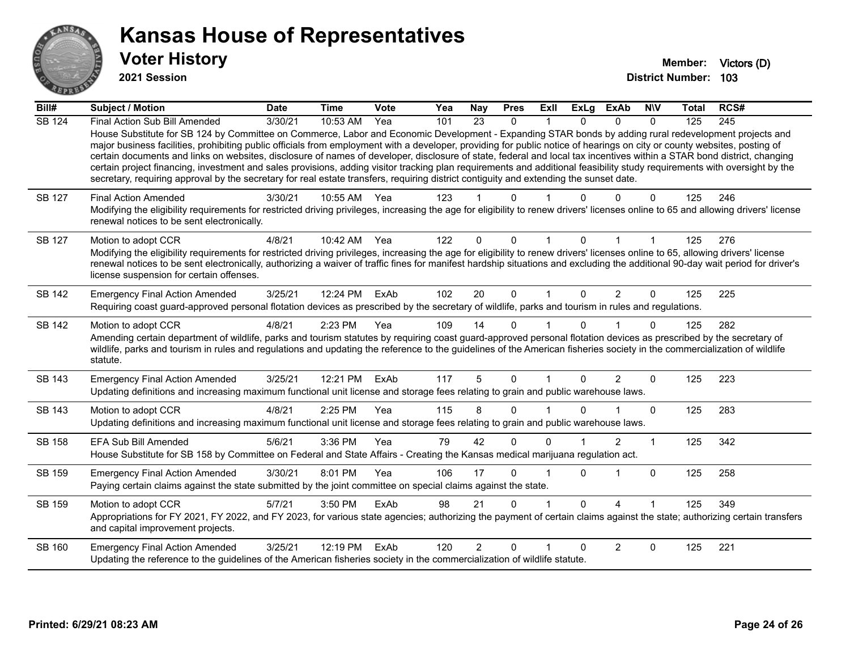

| Bill#         | <b>Subject / Motion</b>                                                                                                                                                                                                                                                                                                                                                                                                                                                                                                                                                                                                                                                                                                                                                                                                                                              | <b>Date</b> | <b>Time</b> | Vote | Yea | Nay            | <b>Pres</b>  | ExII                 | <b>ExLg</b> | <b>ExAb</b>    | <b>NIV</b>   | Total | RCS# |
|---------------|----------------------------------------------------------------------------------------------------------------------------------------------------------------------------------------------------------------------------------------------------------------------------------------------------------------------------------------------------------------------------------------------------------------------------------------------------------------------------------------------------------------------------------------------------------------------------------------------------------------------------------------------------------------------------------------------------------------------------------------------------------------------------------------------------------------------------------------------------------------------|-------------|-------------|------|-----|----------------|--------------|----------------------|-------------|----------------|--------------|-------|------|
| SB 124        | Final Action Sub Bill Amended<br>House Substitute for SB 124 by Committee on Commerce, Labor and Economic Development - Expanding STAR bonds by adding rural redevelopment projects and<br>major business facilities, prohibiting public officials from employment with a developer, providing for public notice of hearings on city or county websites, posting of<br>certain documents and links on websites, disclosure of names of developer, disclosure of state, federal and local tax incentives within a STAR bond district, changing<br>certain project financing, investment and sales provisions, adding visitor tracking plan requirements and additional feasibility study requirements with oversight by the<br>secretary, requiring approval by the secretary for real estate transfers, requiring district contiguity and extending the sunset date. | 3/30/21     | 10:53 AM    | Yea  | 101 | 23             | $\mathbf{0}$ |                      | $\Omega$    | $\Omega$       | $\Omega$     | 125   | 245  |
| <b>SB 127</b> | <b>Final Action Amended</b><br>Modifying the eligibility requirements for restricted driving privileges, increasing the age for eligibility to renew drivers' licenses online to 65 and allowing drivers' license<br>renewal notices to be sent electronically.                                                                                                                                                                                                                                                                                                                                                                                                                                                                                                                                                                                                      | 3/30/21     | 10:55 AM    | Yea  | 123 |                | $\Omega$     |                      |             | $\Omega$       | 0            | 125   | 246  |
| SB 127        | Motion to adopt CCR<br>Modifying the eligibility requirements for restricted driving privileges, increasing the age for eligibility to renew drivers' licenses online to 65, allowing drivers' license<br>renewal notices to be sent electronically, authorizing a waiver of traffic fines for manifest hardship situations and excluding the additional 90-day wait period for driver's<br>license suspension for certain offenses.                                                                                                                                                                                                                                                                                                                                                                                                                                 | 4/8/21      | 10:42 AM    | Yea  | 122 | $\Omega$       | $\mathbf{0}$ | $\mathbf{1}$         | $\Omega$    | 1              | $\mathbf{1}$ | 125   | 276  |
| <b>SB 142</b> | <b>Emergency Final Action Amended</b><br>Requiring coast guard-approved personal flotation devices as prescribed by the secretary of wildlife, parks and tourism in rules and regulations.                                                                                                                                                                                                                                                                                                                                                                                                                                                                                                                                                                                                                                                                           | 3/25/21     | 12:24 PM    | ExAb | 102 | 20             | $\mathbf{0}$ |                      | $\Omega$    | $\overline{2}$ | 0            | 125   | 225  |
| <b>SB 142</b> | Motion to adopt CCR<br>Amending certain department of wildlife, parks and tourism statutes by requiring coast guard-approved personal flotation devices as prescribed by the secretary of<br>wildlife, parks and tourism in rules and regulations and updating the reference to the guidelines of the American fisheries society in the commercialization of wildlife<br>statute.                                                                                                                                                                                                                                                                                                                                                                                                                                                                                    | 4/8/21      | 2:23 PM     | Yea  | 109 | 14             | 0            |                      | 0           |                | 0            | 125   | 282  |
| SB 143        | <b>Emergency Final Action Amended</b><br>Updating definitions and increasing maximum functional unit license and storage fees relating to grain and public warehouse laws.                                                                                                                                                                                                                                                                                                                                                                                                                                                                                                                                                                                                                                                                                           | 3/25/21     | 12:21 PM    | ExAb | 117 | 5              | $\Omega$     | $\blacktriangleleft$ | $\Omega$    | 2              | $\Omega$     | 125   | 223  |
| <b>SB 143</b> | Motion to adopt CCR<br>Updating definitions and increasing maximum functional unit license and storage fees relating to grain and public warehouse laws.                                                                                                                                                                                                                                                                                                                                                                                                                                                                                                                                                                                                                                                                                                             | 4/8/21      | 2:25 PM     | Yea  | 115 | 8              | $\mathbf 0$  |                      | $\Omega$    |                | $\Omega$     | 125   | 283  |
| <b>SB 158</b> | <b>EFA Sub Bill Amended</b><br>House Substitute for SB 158 by Committee on Federal and State Affairs - Creating the Kansas medical marijuana regulation act.                                                                                                                                                                                                                                                                                                                                                                                                                                                                                                                                                                                                                                                                                                         | 5/6/21      | 3:36 PM     | Yea  | 79  | 42             | $\Omega$     | $\Omega$             |             | $\overline{2}$ | $\mathbf{1}$ | 125   | 342  |
| SB 159        | <b>Emergency Final Action Amended</b><br>Paying certain claims against the state submitted by the joint committee on special claims against the state.                                                                                                                                                                                                                                                                                                                                                                                                                                                                                                                                                                                                                                                                                                               | 3/30/21     | 8:01 PM     | Yea  | 106 | 17             | $\Omega$     |                      | 0           |                | $\Omega$     | 125   | 258  |
| SB 159        | Motion to adopt CCR<br>Appropriations for FY 2021, FY 2022, and FY 2023, for various state agencies; authorizing the payment of certain claims against the state; authorizing certain transfers<br>and capital improvement projects.                                                                                                                                                                                                                                                                                                                                                                                                                                                                                                                                                                                                                                 | 5/7/21      | 3:50 PM     | ExAb | 98  | 21             | $\Omega$     |                      | $\Omega$    | 4              |              | 125   | 349  |
| SB 160        | <b>Emergency Final Action Amended</b><br>Updating the reference to the guidelines of the American fisheries society in the commercialization of wildlife statute.                                                                                                                                                                                                                                                                                                                                                                                                                                                                                                                                                                                                                                                                                                    | 3/25/21     | 12:19 PM    | ExAb | 120 | $\overline{2}$ | $\Omega$     |                      | 0           | 2              | $\Omega$     | 125   | 221  |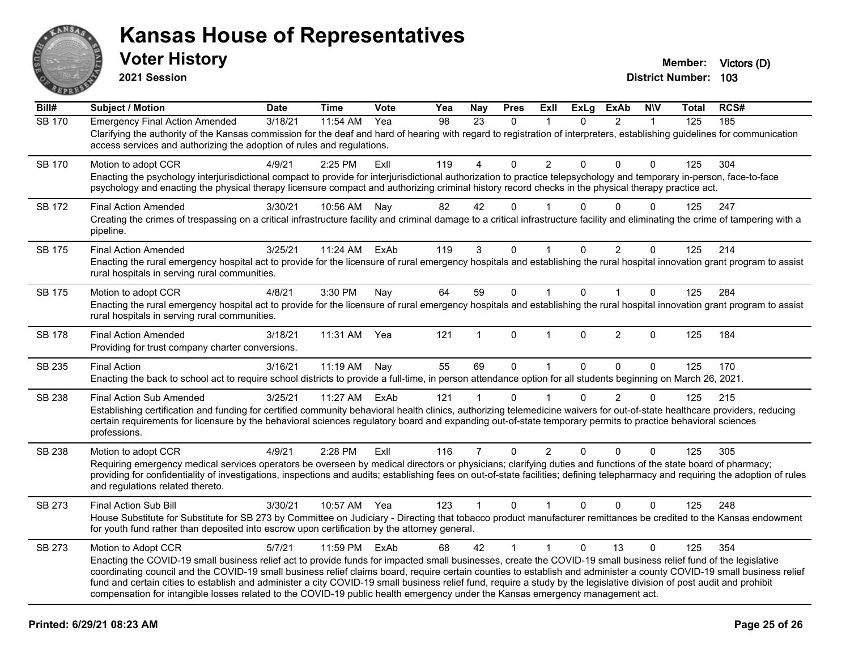

**2021 Session**

**Bill# Subject / Motion Date Time Vote Yea Nay Pres Exll ExLg ExAb N\V Total RCS#** SB 170 Emergency Final Action Amended 3/18/21 11:54 AM Yea 98 23 0 1 0 2 1 125 185 Clarifying the authority of the Kansas commission for the deaf and hard of hearing with regard to registration of interpreters, establishing guidelines for communication access services and authorizing the adoption of rules and regulations. SB 170 Motion to adopt CCR 4/9/21 2:25 PM Exll 119 4 0 2 0 0 0 125 304 Enacting the psychology interjurisdictional compact to provide for interjurisdictional authorization to practice telepsychology and temporary in-person, face-to-face psychology and enacting the physical therapy licensure compact and authorizing criminal history record checks in the physical therapy practice act. SB 172 Final Action Amended and the 3/30/21 10:56 AM Nay  $\begin{array}{cccccc} 82 & 42 & 0 & 1 & 0 & 0 & 0 & 125 & 247 \end{array}$ Creating the crimes of trespassing on a critical infrastructure facility and criminal damage to a critical infrastructure facility and eliminating the crime of tampering with a pipeline. SB 175 Final Action Amended and 3025/21 11:24 AM ExAb 119 3 0 1 0 2 0 125 214 Enacting the rural emergency hospital act to provide for the licensure of rural emergency hospitals and establishing the rural hospital innovation grant program to assist rural hospitals in serving rural communities. SB 175 Motion to adopt CCR 4/8/21 3:30 PM Nav 64 59 0 1 0 1 0 125 284 Enacting the rural emergency hospital act to provide for the licensure of rural emergency hospitals and establishing the rural hospital innovation grant program to assist rural hospitals in serving rural communities. SB 178 Final Action Amended 3/18/21 11:31 AM Yea 121 1 0 1 0 2 0 125 184 Providing for trust company charter conversions. SB 235 Final Action 3/16/21 11:19 AM Nay 55 69 0 1 0 0 0 125 170 Enacting the back to school act to require school districts to provide a full-time, in person attendance option for all students beginning on March 26, 2021. SB 238 Final Action Sub Amended 3/25/21 11:27 AM ExAb 121 1 0 1 0 2 0 125 215 Establishing certification and funding for certified community behavioral health clinics, authorizing telemedicine waivers for out-of-state healthcare providers, reducing certain requirements for licensure by the behavioral sciences regulatory board and expanding out-of-state temporary permits to practice behavioral sciences professions. SB 238 Motion to adopt CCR 4/9/21 2:28 PM Exll 116 7 0 2 0 0 0 125 305 Requiring emergency medical services operators be overseen by medical directors or physicians; clarifying duties and functions of the state board of pharmacy; providing for confidentiality of investigations, inspections and audits; establishing fees on out-of-state facilities; defining telepharmacy and requiring the adoption of rules and regulations related thereto. SB 273 Final Action Sub Bill 3/30/21 10:57 AM Yea 123 1 0 1 0 0 0 125 248 House Substitute for Substitute for SB 273 by Committee on Judiciary - Directing that tobacco product manufacturer remittances be credited to the Kansas endowment for youth fund rather than deposited into escrow upon certification by the attorney general. SB 273 Motion to Adopt CCR 5/7/21 11:59 PM ExAb 68 42 1 1 0 13 0 125 354 Enacting the COVID-19 small business relief act to provide funds for impacted small businesses, create the COVID-19 small business relief fund of the legislative coordinating council and the COVID-19 small business relief claims board, require certain counties to establish and administer a county COVID-19 small business relief fund and certain cities to establish and administer a city COVID-19 small business relief fund, require a study by the legislative division of post audit and prohibit compensation for intangible losses related to the COVID-19 public health emergency under the Kansas emergency management act.